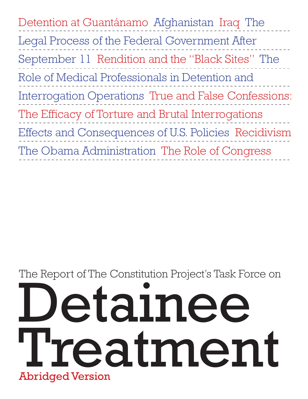| Detention at Guantánamo Afghanistan Iraq The         |
|------------------------------------------------------|
| Legal Process of the Federal Government After        |
| September 11 Rendition and the "Black Sites" The     |
| Role of Medical Professionals in Detention and       |
| Interrogation Operations True and False Confessions: |
| The Efficacy of Torture and Brutal Interrogations    |
| Effects and Consequences of U.S. Policies Recidivism |
| The Obama Administration The Role of Congress        |

# Detainee Treatment The Report of The Constitution Project's Task Force on Abridged Version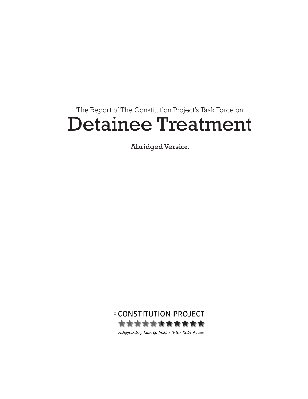### The Report of The Constitution Project's Task Force on Detainee Treatment

Abridged Version

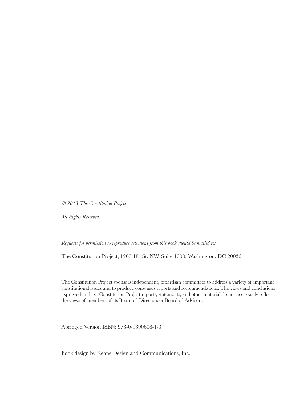*© 2013 The Constitution Project.* 

*All Rights Reserved.*

*Requests for permission to reproduce selections from this book should be mailed to:* 

The Constitution Project, 1200 18<sup>th</sup> St. NW, Suite 1000, Washington, DC 20036

The Constitution Project sponsors independent, bipartisan committees to address a variety of important constitutional issues and to produce consensus reports and recommendations. The views and conclusions expressed in these Constitution Project reports, statements, and other material do not necessarily reflect the views of members of its Board of Directors or Board of Advisors.

Abridged Version ISBN: 978-0-9890608-1-3

Book design by Keane Design and Communications, Inc.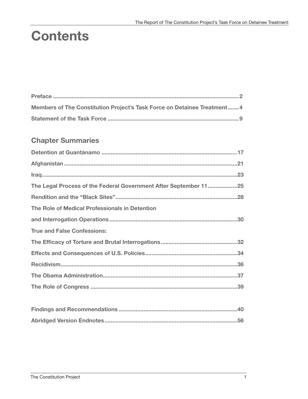## **Contents**

| Members of The Constitution Project's Task Force on Detainee Treatment4 |  |
|-------------------------------------------------------------------------|--|
|                                                                         |  |

### **Chapter Summaries**

| The Legal Process of the Federal Government After September 1125 |
|------------------------------------------------------------------|
|                                                                  |
| The Role of Medical Professionals in Detention                   |
|                                                                  |
| <b>True and False Confessions:</b>                               |
|                                                                  |
|                                                                  |
|                                                                  |
|                                                                  |
|                                                                  |
|                                                                  |
|                                                                  |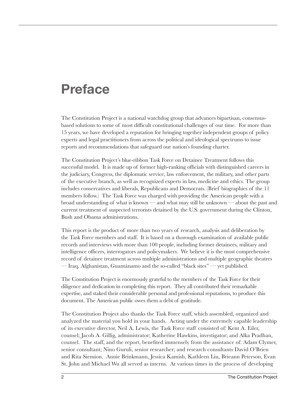### **Preface**

The Constitution Project is a national watchdog group that advances bipartisan, consensusbased solutions to some of most difficult constitutional challenges of our time. For more than 15 years, we have developed a reputation for bringing together independent groups of policy experts and legal practitioners from across the political and ideological spectrums to issue reports and recommendations that safeguard our nation's founding charter.

The Constitution Project's blue-ribbon Task Force on Detainee Treatment follows this successful model. It is made up of former high-ranking officials with distinguished careers in the judiciary, Congress, the diplomatic service, law enforcement, the military, and other parts of the executive branch, as well as recognized experts in law, medicine and ethics. The group includes conservatives and liberals, Republicans and Democrats. (Brief biographies of the 11 members follow.) The Task Force was charged with providing the American people with a broad understanding of what is known — and what may still be unknown — about the past and current treatment of suspected terrorists detained by the U.S. government during the Clinton, Bush and Obama administrations.

This report is the product of more than two years of research, analysis and deliberation by the Task Force members and staff. It is based on a thorough examination of available public records and interviews with more than 100 people, including former detainees, military and intelligence officers, interrogators and policymakers. We believe it is the most comprehensive record of detainee treatment across multiple administrations and multiple geographic theatres — Iraq, Afghanistan, Guantánamo and the so-called "black sites" — yet published.

The Constitution Project is enormously grateful to the members of the Task Force for their diligence and dedication in completing this report. They all contributed their remarkable expertise, and staked their considerable personal and professional reputations, to produce this document. The American public owes them a debt of gratitude.

The Constitution Project also thanks the Task Force staff, which assembled, organized and analyzed the material you hold in your hands. Acting under the extremely capable leadership of its executive director, Neil A. Lewis, the Task Force staff consisted of: Kent A. Eiler, counsel; Jacob A. Gillig, administrator; Katherine Hawkins, investigator; and Alka Pradhan, counsel. The staff, and the report, benefited immensely from the assistance of: Adam Clymer, senior consultant; Nino Guruli, senior researcher; and research consultants David O'Brien and Rita Siemion. Annie Brinkmann, Jessica Kamish, Kathleen Liu, Brieann Peterson, Evan St. John and Michael Wu all served as interns. At various times in the process of developing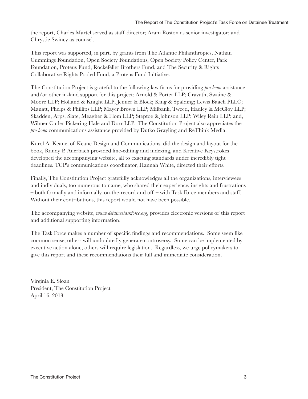the report, Charles Martel served as staff director; Aram Roston as senior investigator; and Chrystie Swiney as counsel.

This report was supported, in part, by grants from The Atlantic Philanthropies, Nathan Cummings Foundation, Open Society Foundations, Open Society Policy Center, Park Foundation, Proteus Fund, Rockefeller Brothers Fund, and The Security & Rights Collaborative Rights Pooled Fund, a Proteus Fund Initiative.

The Constitution Project is grateful to the following law firms for providing *pro bono* assistance and/or other in-kind support for this project: Arnold & Porter LLP; Cravath, Swaine & Moore LLP; Holland & Knight LLP; Jenner & Block; King & Spalding; Lewis Baach PLLC; Manatt, Phelps & Phillips LLP; Mayer Brown LLP; Milbank, Tweed, Hadley & McCloy LLP; Skadden, Arps, Slate, Meagher & Flom LLP; Steptoe & Johnson LLP; Wiley Rein LLP; and, Wilmer Cutler Pickering Hale and Dorr LLP. The Constitution Project also appreciates the *pro bono* communications assistance provided by Dutko Grayling and ReThink Media.

Karol A. Keane, of Keane Design and Communications, did the design and layout for the book, Randy P. Auerbach provided line-editing and indexing, and Kreative Keystrokes developed the accompanying website, all to exacting standards under incredibly tight deadlines. TCP's communications coordinator, Hannah White, directed their efforts.

Finally, The Constitution Project gratefully acknowledges all the organizations, interviewees and individuals, too numerous to name, who shared their experience, insights and frustrations – both formally and informally, on-the-record and off – with Task Force members and staff. Without their contributions, this report would not have been possible.

The accompanying website, *www.detaineetaskforce.org*, provides electronic versions of this report and additional supporting information.

The Task Force makes a number of specific findings and recommendations. Some seem like common sense; others will undoubtedly generate controversy. Some can be implemented by executive action alone; others will require legislation. Regardless, we urge policymakers to give this report and these recommendations their full and immediate consideration.

Virginia E. Sloan President, The Constitution Project April 16, 2013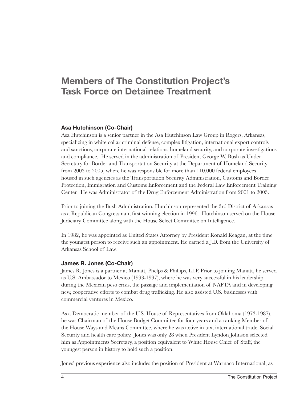### **Members of The Constitution Project's Task Force on Detainee Treatment**

#### **Asa Hutchinson (Co-Chair)**

Asa Hutchinson is a senior partner in the Asa Hutchinson Law Group in Rogers, Arkansas, specializing in white collar criminal defense, complex litigation, international export controls and sanctions, corporate international relations, homeland security, and corporate investigations and compliance. He served in the administration of President George W. Bush as Under Secretary for Border and Transportation Security at the Department of Homeland Security from 2003 to 2005, where he was responsible for more than 110,000 federal employees housed in such agencies as the Transportation Security Administration, Customs and Border Protection, Immigration and Customs Enforcement and the Federal Law Enforcement Training Center. He was Administrator of the Drug Enforcement Administration from 2001 to 2003.

Prior to joining the Bush Administration, Hutchinson represented the 3rd District of Arkansas as a Republican Congressman, first winning election in 1996. Hutchinson served on the House Judiciary Committee along with the House Select Committee on Intelligence.

In 1982, he was appointed as United States Attorney by President Ronald Reagan, at the time the youngest person to receive such an appointment. He earned a J.D. from the University of Arkansas School of Law.

#### **James R. Jones (Co-Chair)**

James R. Jones is a partner at Manatt, Phelps & Phillips, LLP. Prior to joining Manatt, he served as U.S. Ambassador to Mexico (1993-1997), where he was very successful in his leadership during the Mexican peso crisis, the passage and implementation of NAFTA and in developing new, cooperative efforts to combat drug trafficking. He also assisted U.S. businesses with commercial ventures in Mexico.

As a Democratic member of the U.S. House of Representatives from Oklahoma (1973-1987), he was Chairman of the House Budget Committee for four years and a ranking Member of the House Ways and Means Committee, where he was active in tax, international trade, Social Security and health care policy. Jones was only 28 when President Lyndon Johnson selected him as Appointments Secretary, a position equivalent to White House Chief of Staff, the youngest person in history to hold such a position.

Jones' previous experience also includes the position of President at Warnaco International, as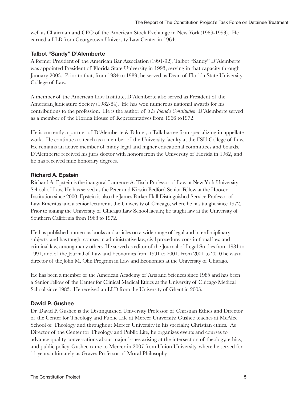well as Chairman and CEO of the American Stock Exchange in New York (1989-1993). He earned a LLB from Georgetown University Law Center in 1964.

#### **Talbot "Sandy" D'Alemberte**

A former President of the American Bar Association (1991-92), Talbot "Sandy" D'Alemberte was appointed President of Florida State University in 1993, serving in that capacity through January 2003. Prior to that, from 1984 to 1989, he served as Dean of Florida State University College of Law.

A member of the American Law Institute, D'Alemberte also served as President of the American Judicature Society (1982-84). He has won numerous national awards for his contributions to the profession. He is the author of *The Florida Constitution*. D'Alemberte served as a member of the Florida House of Representatives from 1966 to1972.

He is currently a partner of D'Alemberte & Palmer, a Tallahassee firm specializing in appellate work. He continues to teach as a member of the University faculty at the FSU College of Law. He remains an active member of many legal and higher educational committees and boards. D'Alemberte received his juris doctor with honors from the University of Florida in 1962, and he has received nine honorary degrees.

#### **Richard A. Epstein**

Richard A. Epstein is the inaugural Laurence A. Tisch Professor of Law at New York University School of Law. He has served as the Peter and Kirstin Bedford Senior Fellow at the Hoover Institution since 2000. Epstein is also the James Parker Hall Distinguished Service Professor of Law Emeritus and a senior lecturer at the University of Chicago, where he has taught since 1972. Prior to joining the University of Chicago Law School faculty, he taught law at the University of Southern California from 1968 to 1972.

He has published numerous books and articles on a wide range of legal and interdisciplinary subjects, and has taught courses in administrative law, civil procedure, constitutional law, and criminal law, among many others. He served as editor of the Journal of Legal Studies from 1981 to 1991, and of the Journal of Law and Economics from 1991 to 2001. From 2001 to 2010 he was a director of the John M. Olin Program in Law and Economics at the University of Chicago.

He has been a member of the American Academy of Arts and Sciences since 1985 and has been a Senior Fellow of the Center for Clinical Medical Ethics at the University of Chicago Medical School since 1983. He received an LLD from the University of Ghent in 2003.

#### **David P. Gushee**

Dr. David P. Gushee is the Distinguished University Professor of Christian Ethics and Director of the Center for Theology and Public Life at Mercer University. Gushee teaches at McAfee School of Theology and throughout Mercer University in his specialty, Christian ethics. As Director of the Center for Theology and Public Life, he organizes events and courses to advance quality conversations about major issues arising at the intersection of theology, ethics, and public policy. Gushee came to Mercer in 2007 from Union University, where he served for 11 years, ultimately as Graves Professor of Moral Philosophy.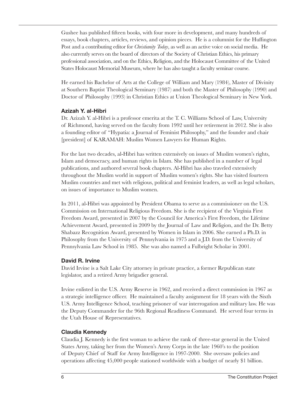Gushee has published fifteen books, with four more in development, and many hundreds of essays, book chapters, articles, reviews, and opinion pieces. He is a columnist for the Huffington Post and a contributing editor for *Christianity Today*, as well as an active voice on social media. He also currently serves on the board of directors of the Society of Christian Ethics, his primary professional association, and on the Ethics, Religion, and the Holocaust Committee of the United States Holocaust Memorial Museum, where he has also taught a faculty seminar course.

He earned his Bachelor of Arts at the College of William and Mary (1984), Master of Divinity at Southern Baptist Theological Seminary (1987) and both the Master of Philosophy (1990) and Doctor of Philosophy (1993) in Christian Ethics at Union Theological Seminary in New York.

#### **Azizah Y. al-Hibri**

Dr. Azizah Y. al-Hibri is a professor emerita at the T. C. Williams School of Law, University of Richmond, having served on the faculty from 1992 until her retirement in 2012. She is also a founding editor of "Hypatia: a Journal of Feminist Philosophy," and the founder and chair [president] of KARAMAH: Muslim Women Lawyers for Human Rights.

For the last two decades, al-Hibri has written extensively on issues of Muslim women's rights, Islam and democracy, and human rights in Islam. She has published in a number of legal publications, and authored several book chapters. Al-Hibri has also traveled extensively throughout the Muslim world in support of Muslim women's rights. She has visited fourteen Muslim countries and met with religious, political and feminist leaders, as well as legal scholars, on issues of importance to Muslim women.

In 2011, al-Hibri was appointed by President Obama to serve as a commissioner on the U.S. Commission on International Religious Freedom. She is the recipient of the Virginia First Freedom Award, presented in 2007 by the Council for America's First Freedom, the Lifetime Achievement Award, presented in 2009 by the Journal of Law and Religion, and the Dr. Betty Shabazz Recognition Award, presented by Women in Islam in 2006. She earned a Ph.D. in Philosophy from the University of Pennsylvania in 1975 and a J.D. from the University of Pennsylvania Law School in 1985. She was also named a Fulbright Scholar in 2001.

#### **David R. Irvine**

David Irvine is a Salt Lake City attorney in private practice, a former Republican state legislator, and a retired Army brigadier general.

Irvine enlisted in the U.S. Army Reserve in 1962, and received a direct commission in 1967 as a strategic intelligence officer. He maintained a faculty assignment for 18 years with the Sixth U.S. Army Intelligence School, teaching prisoner of war interrogation and military law. He was the Deputy Commander for the 96th Regional Readiness Command. He served four terms in the Utah House of Representatives.

#### **Claudia Kennedy**

Claudia J. Kennedy is the first woman to achieve the rank of three-star general in the United States Army, taking her from the Women's Army Corps in the late 1960's to the position of Deputy Chief of Staff for Army Intelligence in 1997-2000. She oversaw policies and operations affecting 45,000 people stationed worldwide with a budget of nearly \$1 billion.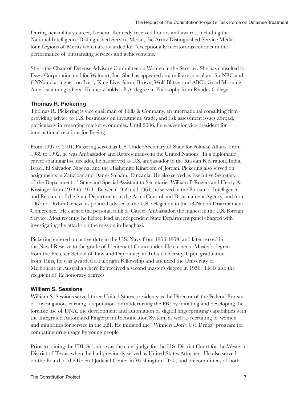During her military career, General Kennedy received honors and awards, including the National Intelligence Distinguished Service Medal, the Army Distinguished Service Medal, four Legions of Merits which are awarded for "exceptionally meritorious conduct in the performance of outstanding services and achievements."

She is the Chair of Defense Advisory Committee on Women in the Services. She has consulted for Essex Corporation and for Walmart, Inc. She has appeared as a military consultant for NBC and CNN and as a guest on Larry King Live, Aaron Brown, Wolf Blitzer and ABC's Good Morning America among others. Kennedy holds a B.A. degree in Philosophy from Rhodes College.

#### **Thomas R. Pickering**

Thomas R. Pickering is vice chairman of Hills & Company, an international consulting firm providing advice to U.S. businesses on investment, trade, and risk assessment issues abroad, particularly in emerging market economies. Until 2006, he was senior vice president for international relations for Boeing.

From 1997 to 2001, Pickering served as U.S. Under Secretary of State for Political Affairs. From 1989 to 1992, he was Ambassador and Representative to the United Nations. In a diplomatic career spanning five decades, he has served as U.S. ambassador to the Russian Federation, India, Israel, El Salvador, Nigeria, and the Hashemite Kingdom of Jordan. Pickering also served on assignments in Zanzibar and Dar es Salaam, Tanzania. He also served as Executive Secretary of the Department of State and Special Assistant to Secretaries William P. Rogers and Henry A. Kissinger from 1973 to 1974. Between 1959 and 1961, he served in the Bureau of Intelligence and Research of the State Department, in the Arms Control and Disarmament Agency, and from 1962 to 1964 in Geneva as political adviser to the U.S. delegation to the 18-Nation Disarmament Conference. He earned the personal rank of Career Ambassador, the highest in the U.S. Foreign Service. Most recently, he helped lead an independent State Department panel charged with investigating the attacks on the mission in Benghazi.

Pickering entered on active duty in the U.S. Navy from 1956-1959, and later served in the Naval Reserve to the grade of Lieutenant Commander. He earned a Master's degree from the Fletcher School of Law and Diplomacy at Tufts University. Upon graduation from Tufts, he was awarded a Fulbright Fellowship and attended the University of Melbourne in Australia where he received a second master's degree in 1956. He is also the recipient of 12 honorary degrees.

#### **William S. Sessions**

William S. Sessions served three United States presidents as the Director of the Federal Bureau of Investigation, earning a reputation for modernizing the FBI by initiating and developing the forensic use of DNA, the development and automation of digital fingerprinting capabilities with the Integrated Automated Fingerprint Identification System, as well as recruiting of women and minorities for service in the FBI. He initiated the "Winners Don't Use Drugs" program for combating drug usage by young people.

Prior to joining the FBI, Sessions was the chief judge for the U.S. District Court for the Western District of Texas, where he had previously served as United States Attorney. He also served on the Board of the Federal Judicial Center in Washington, D.C., and on committees of both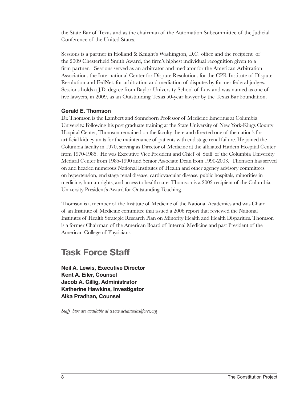the State Bar of Texas and as the chairman of the Automation Subcommittee of the Judicial Conference of the United States.

Sessions is a partner in Holland & Knight's Washington, D.C. office and the recipient of the 2009 Chesterfield Smith Award, the firm's highest individual recognition given to a firm partner. Sessions served as an arbitrator and mediator for the American Arbitration Association, the International Center for Dispute Resolution, for the CPR Institute of Dispute Resolution and FedNet, for arbitration and mediation of disputes by former federal judges. Sessions holds a J.D. degree from Baylor University School of Law and was named as one of five lawyers, in 2009, as an Outstanding Texas 50-year lawyer by the Texas Bar Foundation.

#### **Gerald E. Thomson**

Dr. Thomson is the Lambert and Sonneborn Professor of Medicine Emeritus at Columbia University. Following his post graduate training at the State University of New York-Kings County Hospital Center, Thomson remained on the faculty there and directed one of the nation's first artificial kidney units for the maintenance of patients with end stage renal failure. He joined the Columbia faculty in 1970, serving as Director of Medicine at the affiliated Harlem Hospital Center from 1970-1985. He was Executive Vice President and Chief of Staff of the Columbia University Medical Center from 1985-1990 and Senior Associate Dean from 1990-2003. Thomson has served on and headed numerous National Institutes of Health and other agency advisory committees on hypertension, end stage renal disease, cardiovascular disease, public hospitals, minorities in medicine, human rights, and access to health care. Thomson is a 2002 recipient of the Columbia University President's Award for Outstanding Teaching.

Thomson is a member of the Institute of Medicine of the National Academies and was Chair of an Institute of Medicine committee that issued a 2006 report that reviewed the National Institutes of Health Strategic Research Plan on Minority Health and Health Disparities. Thomson is a former Chairman of the American Board of Internal Medicine and past President of the American College of Physicians.

### **Task Force Staff**

**Neil A. Lewis, Executive Director Kent A. Eiler, Counsel Jacob A. Gillig, Administrator Katherine Hawkins, Investigator Alka Pradhan, Counsel**

*Staff bios are available at [www.detaineetaskforce.org.](www.detaineetaskforce.org)*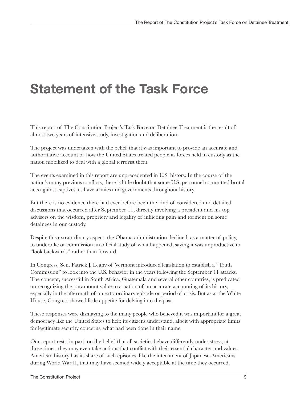# **Statement of the Task Force**

This report of The Constitution Project's Task Force on Detainee Treatment is the result of almost two years of intensive study, investigation and deliberation.

The project was undertaken with the belief that it was important to provide an accurate and authoritative account of how the United States treated people its forces held in custody as the nation mobilized to deal with a global terrorist theat.

The events examined in this report are unprecedented in U.S. history. In the course of the nation's many previous conflicts, there is little doubt that some U.S. personnel committed brutal acts against captives, as have armies and governments throughout history.

But there is no evidence there had ever before been the kind of considered and detailed discussions that occurred after September 11, directly involving a president and his top advisers on the wisdom, propriety and legality of inflicting pain and torment on some detainees in our custody.

Despite this extraordinary aspect, the Obama administration declined, as a matter of policy, to undertake or commission an official study of what happened, saying it was unproductive to "look backwards" rather than forward.

In Congress, Sen. Patrick J. Leahy of Vermont introduced legislation to establish a "Truth Commission" to look into the U.S. behavior in the years following the September 11 attacks. The concept, successful in South Africa, Guatemala and several other countries, is predicated on recognizing the paramount value to a nation of an accurate accounting of its history, especially in the aftermath of an extraordinary episode or period of crisis. But as at the White House, Congress showed little appetite for delving into the past.

These responses were dismaying to the many people who believed it was important for a great democracy like the United States to help its citizens understand, albeit with appropriate limits for legitimate security concerns, what had been done in their name.

Our report rests, in part, on the belief that all societies behave differently under stress; at those times, they may even take actions that conflict with their essential character and values. American history has its share of such episodes, like the internment of Japanese-Americans during World War II, that may have seemed widely acceptable at the time they occurred,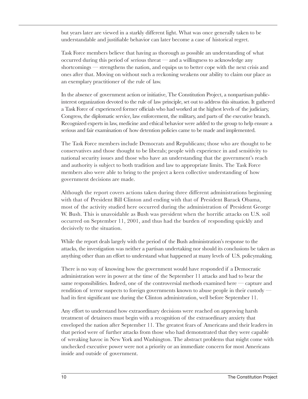but years later are viewed in a starkly different light. What was once generally taken to be understandable and justifiable behavior can later become a case of historical regret.

Task Force members believe that having as thorough as possible an understanding of what occurred during this period of serious threat — and a willingness to acknowledge any shortcomings — strengthens the nation, and equips us to better cope with the next crisis and ones after that. Moving on without such a reckoning weakens our ability to claim our place as an exemplary practitioner of the rule of law.

In the absence of government action or initiative, The Constitution Project, a nonpartisan publicinterest organization devoted to the rule of law principle, set out to address this situation. It gathered a Task Force of experienced former officials who had worked at the highest levels of the judiciary, Congress, the diplomatic service, law enforcement, the military, and parts of the executive branch. Recognized experts in law, medicine and ethical behavior were added to the group to help ensure a serious and fair examination of how detention policies came to be made and implemented.

The Task Force members include Democrats and Republicans; those who are thought to be conservatives and those thought to be liberals; people with experience in and sensitivity to national security issues and those who have an understanding that the government's reach and authority is subject to both tradition and law to appropriate limits. The Task Force members also were able to bring to the project a keen collective understanding of how government decisions are made.

Although the report covers actions taken during three different administrations beginning with that of President Bill Clinton and ending with that of President Barack Obama, most of the activity studied here occurred during the administration of President George W. Bush. This is unavoidable as Bush was president when the horrific attacks on U.S. soil occurred on September 11, 2001, and thus had the burden of responding quickly and decisively to the situation.

While the report deals largely with the period of the Bush administration's response to the attacks, the investigation was neither a partisan undertaking nor should its conclusions be taken as anything other than an effort to understand what happened at many levels of U.S. policymaking.

There is no way of knowing how the government would have responded if a Democratic administration were in power at the time of the September 11 attacks and had to bear the same responsibilities. Indeed, one of the controversial methods examined here — capture and rendition of terror suspects to foreign governments known to abuse people in their custody had its first significant use during the Clinton administration, well before September 11.

Any effort to understand how extraordinary decisions were reached on approving harsh treatment of detainees must begin with a recognition of the extraordinary anxiety that enveloped the nation after September 11. The greatest fears of Americans and their leaders in that period were of further attacks from those who had demonstrated that they were capable of wreaking havoc in New York and Washington. The abstract problems that might come with unchecked executive power were not a priority or an immediate concern for most Americans inside and outside of government.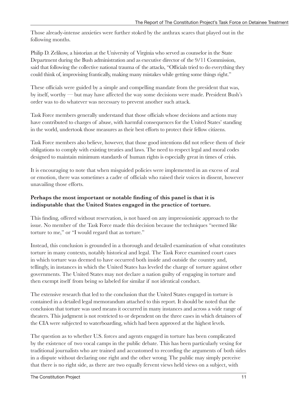Those already-intense anxieties were further stoked by the anthrax scares that played out in the following months.

Philip D. Zelikow, a historian at the University of Virginia who served as counselor in the State Department during the Bush administration and as executive director of the 9/11 Commission, said that following the collective national trauma of the attacks, "Officials tried to do everything they could think of, improvising frantically, making many mistakes while getting some things right."

These officials were guided by a simple and compelling mandate from the president that was, by itself, worthy — but may have affected the way some decisions were made. President Bush's order was to do whatever was necessary to prevent another such attack.

Task Force members generally understand that those officials whose decisions and actions may have contributed to charges of abuse, with harmful consequences for the United States' standing in the world, undertook those measures as their best efforts to protect their fellow citizens.

Task Force members also believe, however, that those good intentions did not relieve them of their obligations to comply with existing treaties and laws. The need to respect legal and moral codes designed to maintain minimum standards of human rights is especially great in times of crisis.

It is encouraging to note that when misguided policies were implemented in an excess of zeal or emotion, there was sometimes a cadre of officials who raised their voices in dissent, however unavailing those efforts.

#### **Perhaps the most important or notable finding of this panel is that it is indisputable that the United States engaged in the practice of torture.**

This finding, offered without reservation, is not based on any impressionistic approach to the issue. No member of the Task Force made this decision because the techniques "seemed like torture to me," or "I would regard that as torture."

Instead, this conclusion is grounded in a thorough and detailed examination of what constitutes torture in many contexts, notably historical and legal. The Task Force examined court cases in which torture was deemed to have occurred both inside and outside the country and, tellingly, in instances in which the United States has leveled the charge of torture against other governments. The United States may not declare a nation guilty of engaging in torture and then exempt itself from being so labeled for similar if not identical conduct.

The extensive research that led to the conclusion that the United States engaged in torture is contained in a detailed legal memorandum attached to this report. It should be noted that the conclusion that torture was used means it occurred in many instances and across a wide range of theaters. This judgment is not restricted to or dependent on the three cases in which detainees of the CIA were subjected to waterboarding, which had been approved at the highest levels.

The question as to whether U.S. forces and agents engaged in torture has been complicated by the existence of two vocal camps in the public debate. This has been particularly vexing for traditional journalists who are trained and accustomed to recording the arguments of both sides in a dispute without declaring one right and the other wrong. The public may simply perceive that there is no right side, as there are two equally fervent views held views on a subject, with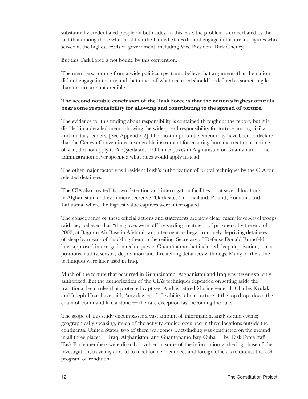substantially credentialed people on both sides. In this case, the problem is exacerbated by the fact that among those who insist that the United States did not engage in torture are figures who served at the highest levels of government, including Vice President Dick Cheney.

But this Task Force is not bound by this convention.

The members, coming from a wide political spectrum, believe that arguments that the nation did not engage in torture and that much of what occurred should be defined as something less than torture are not credible.

#### **The second notable conclusion of the Task Force is that the nation's highest officials bear some responsibility for allowing and contributing to the spread of torture.**

The evidence for this finding about responsibility is contained throughout the report, but it is distilled in a detailed memo showing the widespread responsibility for torture among civilian and military leaders. [See Appendix 2] The most important element may have been to declare that the Geneva Conventions, a venerable instrument for ensuring humane treatment in time of war, did not apply to Al Qaeda and Taliban captives in Afghanistan or Guantánamo. The administration never specified what rules would apply instead.

The other major factor was President Bush's authorization of brutal techniques by the CIA for selected detainees.

The CIA also created its own detention and interrogation facilities — at several locations in Afghanistan, and even more secretive "black sites" in Thailand, Poland, Romania and Lithuania, where the highest value captives were interrogated.

The consequence of these official actions and statements are now clear: many lower-level troops said they believed that "the gloves were off" regarding treatment of prisoners. By the end of 2002, at Bagram Air Base in Afghanistan, interrogators began routinely depriving detainees of sleep by means of shackling them to the ceiling. Secretary of Defense Donald Rumsfeld later approved interrogation techniques in Guantánamo that included sleep deprivation, stress positions, nudity, sensory deprivation and threatening detainees with dogs. Many of the same techniques were later used in Iraq.

Much of the torture that occurred in Guantánamo, Afghanistan and Iraq was never explicitly authorized. But the authorization of the CIA's techniques depended on setting aside the traditional legal rules that protected captives. And as retired Marine generals Charles Krulak and Joseph Hoar have said, "any degree of 'flexibility' about torture at the top drops down the chain of command like a stone — the rare exception fast becoming the rule."

The scope of this study encompasses a vast amount of information, analysis and events; geographically speaking, much of the activity studied occurred in three locations outside the continental United States, two of them war zones. Fact-finding was conducted on the ground in all three places — Iraq, Afghanistan, and Guantánamo Bay, Cuba — by Task Force staff. Task Force members were directly involved in some of the information-gathering phase of the investigation, traveling abroad to meet former detainees and foreign officials to discuss the U.S. program of rendition.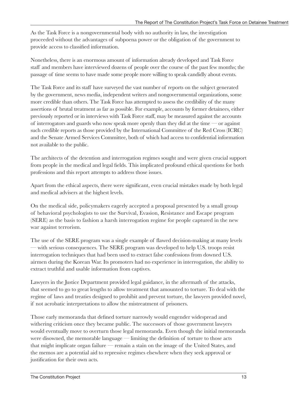As the Task Force is a nongovernmental body with no authority in law, the investigation proceeded without the advantages of subpoena power or the obligation of the government to provide access to classified information.

Nonetheless, there is an enormous amount of information already developed and Task Force staff and members have interviewed dozens of people over the course of the past few months; the passage of time seems to have made some people more willing to speak candidly about events.

The Task Force and its staff have surveyed the vast number of reports on the subject generated by the government, news media, independent writers and nongovernmental organizations, some more credible than others. The Task Force has attempted to assess the credibility of the many assertions of brutal treatment as far as possible. For example, accounts by former detainees, either previously reported or in interviews with Task Force staff, may be measured against the accounts of interrogators and guards who now speak more openly than they did at the time — or against such credible reports as those provided by the International Committee of the Red Cross (ICRC) and the Senate Armed Services Committee, both of which had access to confidential information not available to the public.

The architects of the detention and interrogation regimes sought and were given crucial support from people in the medical and legal fields. This implicated profound ethical questions for both professions and this report attempts to address those issues.

Apart from the ethical aspects, there were significant, even crucial mistakes made by both legal and medical advisers at the highest levels.

On the medical side, policymakers eagerly accepted a proposal presented by a small group of behavioral psychologists to use the Survival, Evasion, Resistance and Escape program (SERE) as the basis to fashion a harsh interrogation regime for people captured in the new war against terrorism.

The use of the SERE program was a single example of flawed decision-making at many levels — with serious consequences. The SERE program was developed to help U.S. troops resist interrogation techniques that had been used to extract false confessions from downed U.S. airmen during the Korean War. Its promoters had no experience in interrogation, the ability to extract truthful and usable information from captives.

Lawyers in the Justice Department provided legal guidance, in the aftermath of the attacks, that seemed to go to great lengths to allow treatment that amounted to torture. To deal with the regime of laws and treaties designed to prohibit and prevent torture, the lawyers provided novel, if not acrobatic interpretations to allow the mistreatment of prisoners.

Those early memoranda that defined torture narrowly would engender widespread and withering criticism once they became public. The successors of those government lawyers would eventually move to overturn those legal memoranda. Even though the initial memoranda were disowned, the memorable language — limiting the definition of torture to those acts that might implicate organ failure — remain a stain on the image of the United States, and the memos are a potential aid to repressive regimes elsewhere when they seek approval or justification for their own acts.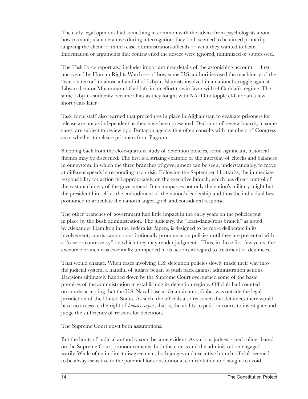The early legal opinions had something in common with the advice from psychologists about how to manipulate detainees during interrogation: they both seemed to be aimed primarily at giving the client — in this case, administration officials — what they wanted to hear. Information or arguments that contravened the advice were ignored, minimized or suppressed.

The Task Force report also includes important new details of the astonishing account — first uncovered by Human Rights Watch — of how some U.S. authorities used the machinery of the "war on terror" to abuse a handful of Libyan Islamists involved in a national struggle against Libyan dictator Muammar el-Gaddafi, in an effort to win favor with el-Gaddafi's regime. The same Libyans suddenly became allies as they fought with NATO to topple el-Gaddafi a few short years later.

Task Force staff also learned that procedures in place in Afghanistan to evaluate prisoners for release are not as independent as they have been presented. Decisions of review boards, in some cases, are subject to review by a Pentagon agency that often consults with members of Congress as to whether to release prisoners from Bagram.

Stepping back from the close-quarters study of detention policies, some significant, historical themes may be discerned. The first is a striking example of the interplay of checks and balances in our system, in which the three branches of government can be seen, understandably, to move at different speeds in responding to a crisis. Following the September 11 attacks, the immediate responsibility for action fell appropriately on the executive branch, which has direct control of the vast machinery of the government. It encompasses not only the nation's military might but the president himself as the embodiment of the nation's leadership and thus the individual best positioned to articulate the nation's anger, grief and considered response.

The other branches of government had little impact in the early years on the policies put in place by the Bush administration. The judiciary, the "least-dangerous branch" as noted by Alexander Hamilton in the Federalist Papers, is designed to be more deliberate in its involvement; courts cannot constitutionally pronounce on policies until they are presented with a "case or controversy" on which they may render judgments. Thus, in those first few years, the executive branch was essentially unimpeded in its actions in regard to treatment of detainees.

That would change. When cases involving U.S. detention policies slowly made their way into the judicial system, a handful of judges began to push back against administration actions. Decisions ultimately handed down by the Supreme Court overturned some of the basic premises of the administration in establishing its detention regime. Officials had counted on courts accepting that the U.S. Naval base at Guantánamo, Cuba, was outside the legal jurisdiction of the United States. As such, the officials also reasoned that detainees there would have no access to the right of *habeas corpus*, that is, the ability to petition courts to investigate and judge the sufficiency of reasons for detention.

The Supreme Court upset both assumptions.

But the limits of judicial authority soon became evident. As various judges issued rulings based on the Supreme Court pronouncements, both the courts and the administration engaged warily. While often in direct disagreement, both judges and executive branch officials seemed to be always sensitive to the potential for constitutional confrontation and sought to avoid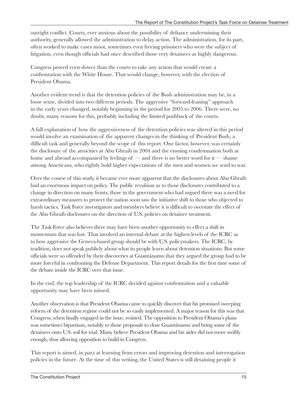outright conflict. Courts, ever anxious about the possibility of defiance undermining their authority, generally allowed the administration to delay action. The administration, for its part, often worked to make cases moot, sometimes even freeing prisoners who were the subject of litigation, even though officials had once described those very detainees as highly dangerous.

Congress proved even slower than the courts to take any action that would create a confrontation with the White House. That would change, however, with the election of President Obama.

Another evident trend is that the detention policies of the Bush administration may be, in a loose sense, divided into two different periods. The aggressive "forward-leaning" approach in the early years changed, notably beginning in the period for 2005 to 2006. There were, no doubt, many reasons for this, probably including the limited pushback of the courts.

A full explanation of how the aggressiveness of the detention policies was altered in this period would involve an examination of the apparent changes in the thinking of President Bush, a difficult task and generally beyond the scope of this report. One factor, however, was certainly the disclosure of the atrocities at Abu Ghraib in 2004 and the ensuing condemnation both at home and abroad accompanied by feelings of — and there is no better word for it — shame among Americans, who rightly hold higher expectations of the men and women we send to war.

Over the course of this study, it became ever more apparent that the disclosures about Abu Ghraib had an enormous impact on policy. The public revulsion as to those disclosures contributed to a change in direction on many fronts; those in the government who had argued there was a need for extraordinary measures to protect the nation soon saw the initiative shift to those who objected to harsh tactics. Task Force investigators and members believe it is difficult to overstate the effect of the Abu Ghraib disclosures on the direction of U.S. policies on detainee treatment.

The Task Force also believes there may have been another opportunity to effect a shift in momentum that was lost. That involved an internal debate at the highest levels of the ICRC as to how aggressive the Geneva-based group should be with U.S. policymakers. The ICRC, by tradition, does not speak publicly about what its people learn about detention situations. But some officials were so offended by their discoveries at Guantánamo that they argued the group had to be more forceful in confronting the Defense Department. This report details for the first time some of the debate inside the ICRC over that issue.

In the end, the top leadership of the ICRC decided against confrontation and a valuable opportunity may have been missed.

Another observation is that President Obama came to quickly discover that his promised sweeping reform of the detention regime could not be so easily implemented. A major reason for this was that Congress, when finally engaged in the issue, resisted. The opposition to President Obama's plans was sometimes bipartisan, notably to those proposals to close Guantánamo and bring some of the detainees onto U.S. soil for trial. Many believe President Obama and his aides did not move swiftly enough, thus allowing opposition to build in Congress.

This report is aimed, in par,t at learning from errors and improving detention and interrogation policies in the future. At the time of this writing, the United States is still detaining people it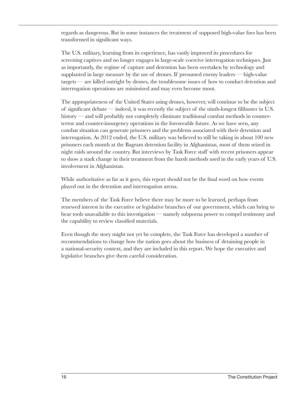regards as dangerous. But in some instances the treatment of supposed high-value foes has been transformed in significant ways.

The U.S. military, learning from its experience, has vastly improved its procedures for screening captives and no longer engages in large-scale coercive interrogation techniques. Just as importantly, the regime of capture and detention has been overtaken by technology and supplanted in large measure by the use of drones. If presumed enemy leaders — high-value targets — are killed outright by drones, the troublesome issues of how to conduct detention and interrogation operations are minimized and may even become moot.

The appropriateness of the United States using drones, however, will continue to be the subject of significant debate — indeed, it was recently the subject of the ninth-longest filibuster in U.S. history — and will probably not completely eliminate traditional combat methods in counterterror and counter-insurgency operations in the foreseeable future. As we have seen, any combat situation can generate prisoners and the problems associated with their detention and interrogation. As 2012 ended, the U.S. military was believed to still be taking in about 100 new prisoners each month at the Bagram detention facility in Afghanistan, most of them seized in night raids around the country. But interviews by Task Force staff with recent prisoners appear to show a stark change in their treatment from the harsh methods used in the early years of U.S. involvement in Afghanistan.

While authoritative as far as it goes, this report should not be the final word on how events played out in the detention and interrogation arena.

The members of the Task Force believe there may be more to be learned, perhaps from renewed interest in the executive or legislative branches of our government, which can bring to bear tools unavailable to this investigation — namely subpoena power to compel testimony and the capability to review classified materials.

Even though the story might not yet be complete, the Task Force has developed a number of recommendations to change how the nation goes about the business of detaining people in a national-security context, and they are included in this report. We hope the executive and legislative branches give them careful consideration.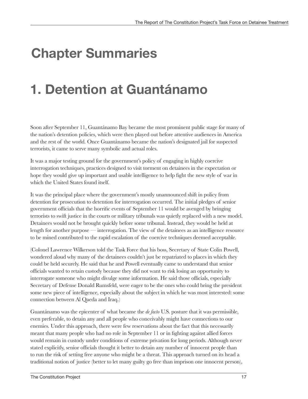# **Chapter Summaries**

# **1. Detention at Guantánamo**

Soon after September 11, Guantánamo Bay became the most prominent public stage for many of the nation's detention policies, which were then played out before attentive audiences in America and the rest of the world. Once Guantánamo became the nation's designated jail for suspected terrorists, it came to serve many symbolic and actual roles.

It was a major testing ground for the government's policy of engaging in highly coercive interrogation techniques, practices designed to visit torment on detainees in the expectation or hope they would give up important and usable intelligence to help fight the new style of war in which the United States found itself.

It was the principal place where the government's mostly unannounced shift in policy from detention for prosecution to detention for interrogation occurred. The initial pledges of senior government officials that the horrific events of September 11 would be avenged by bringing terrorists to swift justice in the courts or military tribunals was quietly replaced with a new model. Detainees would not be brought quickly before some tribunal. Instead, they would be held at length for another purpose — interrogation. The view of the detainees as an intelligence resource to be mined contributed to the rapid escalation of the coercive techniques deemed acceptable.

(Colonel Lawrence Wilkerson told the Task Force that his boss, Secretary of State Colin Powell, wondered aloud why many of the detainees couldn't just be repatriated to places in which they could be held securely. He said that he and Powell eventually came to understand that senior officials wanted to retain custody because they did not want to risk losing an opportunity to interrogate someone who might divulge some information. He said those officials, especially Secretary of Defense Donald Rumsfeld, were eager to be the ones who could bring the president some new piece of intelligence, especially about the subject in which he was most interested: some connection between Al Qaeda and Iraq.)

Guantánamo was the epicenter of what became the *de facto* U.S. posture that it was permissible, even preferable, to detain any and all people who conceivably might have connections to our enemies. Under this approach, there were few reservations about the fact that this necessarily meant that many people who had no role in September 11 or in fighting against allied forces would remain in custody under conditions of extreme privation for long periods. Although never stated explicitly, senior officials thought it better to detain any number of innocent people than to run the risk of setting free anyone who might be a threat. This approach turned on its head a traditional notion of justice (better to let many guilty go free than imprison one innocent person),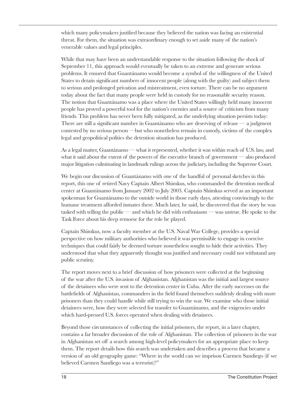which many policymakers justified because they believed the nation was facing an existential threat. For them, the situation was extraordinary enough to set aside many of the nation's venerable values and legal principles.

While that may have been an understandable response to the situation following the shock of September 11, this approach would eventually be taken to an extreme and generate serious problems. It ensured that Guantánamo would become a symbol of the willingness of the United States to detain significant numbers of innocent people (along with the guilty) and subject them to serious and prolonged privation and mistreatment, even torture. There can be no argument today about the fact that many people were held in custody for no reasonable security reason. The notion that Guantánamo was a place where the United States willingly held many innocent people has proved a powerful tool for the nation's enemies and a source of criticism from many friends. This problem has never been fully mitigated, as the underlying situation persists today: There are still a significant number in Guantánamo who are deserving of release  $\rightarrow$  a judgment contested by no serious person —but who nonetheless remain in custody, victims of the complex legal and geopolitical politics the detention situation has produced.

As a legal matter, Guantánamo — what it represented, whether it was within reach of U.S. law, and what it said about the extent of the powers of the executive branch of government — also produced major litigation culminating in landmark rulings across the judiciary, including the Supreme Court.

We begin our discussion of Guantánamo with one of the handful of personal sketches in this report, this one of retired Navy Captain Albert Shimkus, who commanded the detention medical center at Guantánamo from January 2002 to July 2003. Captain Shimkus served as an important spokesman for Guantánamo to the outside world in those early days, attesting convincingly to the humane treatment afforded inmates there. Much later, he said, he discovered that the story he was tasked with telling the public — and which he did with enthusiasm — was untrue. He spoke to the Task Force about his deep remorse for the role he played.

Captain Shimkus, now a faculty member at the U.S. Naval War College, provides a special perspective on how military authorities who believed it was permissible to engage in coercive techniques that could fairly be deemed torture nonetheless sought to hide their activities. They understood that what they apparently thought was justified and necessary could not withstand any public scrutiny.

The report moves next to a brief discussion of how prisoners were collected at the beginning of the war after the U.S. invasion of Afghanistan. Afghanistan was the initial and largest source of the detainees who were sent to the detention center in Cuba. After the early successes on the battlefields of Afghanistan, commanders in the field found themselves suddenly dealing with more prisoners than they could handle while still trying to win the war. We examine who those initial detainees were, how they were selected for transfer to Guantánamo, and the exigencies under which hard-pressed U.S. forces operated when dealing with detainees.

Beyond those circumstances of collecting the initial prisoners, the report, in a later chapter, contains a far broader discussion of the role of Afghanistan. The collection of prisoners in the war in Afghanistan set off a search among high-level policymakers for an appropriate place to keep them. The report details how this search was undertaken and describes a process that became a version of an old geography game: "Where in the world can we imprison Carmen Sandiego (if we believed Carmen Sandiego was a terrorist)?"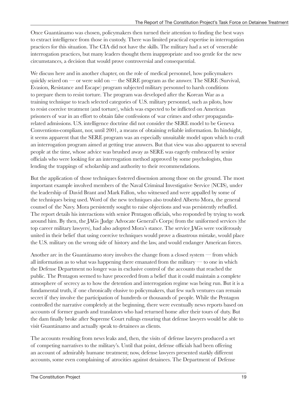Once Guantánamo was chosen, policymakers then turned their attention to finding the best ways to extract intelligence from those in custody. There was limited practical expertise in interrogation practices for this situation. The CIA did not have the skills. The military had a set of venerable interrogation practices, but many leaders thought them inappropriate and too gentle for the new circumstances, a decision that would prove controversial and consequential.

We discuss here and in another chapter, on the role of medical personnel, how policymakers quickly seized on — or were sold on — the SERE program as the answer. The SERE (Survival, Evasion, Resistance and Escape) program subjected military personnel to harsh conditions to prepare them to resist torture. The program was developed after the Korean War as a training technique to teach selected categories of U.S. military personnel, such as pilots, how to resist coercive treatment (and torture), which was expected to be inflicted on American prisoners of war in an effort to obtain false confessions of war crimes and other propagandarelated admissions. U.S. intelligence doctrine did not consider the SERE model to be Geneva Conventions-compliant, nor, until 2001, a means of obtaining reliable information. In hindsight, it seems apparent that the SERE program was an especially unsuitable model upon which to craft an interrogation program aimed at getting true answers. But that view was also apparent to several people at the time, whose advice was brushed away as SERE was eagerly embraced by senior officials who were looking for an interrogation method approved by some psychologists, thus lending the trappings of scholarship and authority to their recommendations.

But the application of those techniques fostered dissension among those on the ground. The most important example involved members of the Naval Criminal Investigative Service (NCIS), under the leadership of David Brant and Mark Fallon, who witnessed and were appalled by some of the techniques being used. Word of the new techniques also troubled Alberto Mora, the general counsel of the Navy. Mora persistently sought to raise objections and was persistently rebuffed. The report details his interactions with senior Pentagon officials, who responded by trying to work around him. By then, the JAGs (Judge Advocate General's Corps) from the uniformed services (the top career military lawyers), had also adopted Mora's stance. The service JAGs were vociferously united in their belief that using coercive techniques would prove a disastrous mistake, would place the U.S. military on the wrong side of history and the law, and would endanger American forces.

Another arc in the Guantánamo story involves the change from a closed system — from which all information as to what was happening there emanated from the military  $\rightarrow$  to one in which the Defense Department no longer was in exclusive control of the accounts that reached the public. The Pentagon seemed to have proceeded from a belief that it could maintain a complete atmosphere of secrecy as to how the detention and interrogation regime was being run. But it is a fundamental truth, if one chronically elusive to policymakers, that few such ventures can remain secret if they involve the participation of hundreds or thousands of people. While the Pentagon controlled the narrative completely at the beginning, there were eventually news reports based on accounts of former guards and translators who had returned home after their tours of duty. But the dam finally broke after Supreme Court rulings ensuring that defense lawyers would be able to visit Guantánamo and actually speak to detainees as clients.

The accounts resulting from news leaks and, then, the visits of defense lawyers produced a set of competing narratives to the military's. Until that point, defense officials had been offering an account of admirably humane treatment; now, defense lawyers presented starkly different accounts, some even complaining of atrocities against detainees. The Department of Defense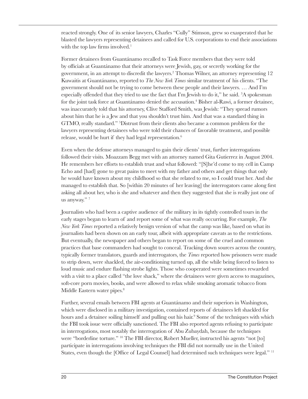reacted strongly. One of its senior lawyers, Charles "Cully" Stimson, grew so exasperated that he blasted the lawyers representing detainees and called for U.S. corporations to end their associations with the top law firms involved.<sup>1</sup>

Former detainees from Guantánamo recalled to Task Force members that they were told by officials at Guantánamo that their attorneys were Jewish, gay, or secretly working for the government, in an attempt to discredit the lawyers.2 Thomas Wilner, an attorney representing 12 Kuwaitis at Guantánamo, reported to *The New York Times* similar treatment of his clients. "The government should not be trying to come between these people and their lawyers. … And I'm especially offended that they tried to use the fact that I'm Jewish to do it," he said. <sup>3</sup>A spokesman for the joint task force at Guantánamo denied the accusation.<sup>4</sup> Bisher al-Rawi, a former detainee, was inaccurately told that his attorney, Clive Stafford Smith, was Jewish: "They spread rumors about him that he is a Jew and that you shouldn't trust him. And that was a standard thing in GTMO, really standard." <sup>5</sup> Distrust from their clients also became a common problem for the lawyers representing detainees who were told their chances of favorable treatment, and possible release, would be hurt if they had legal representation.<sup>6</sup>

Even when the defense attorneys managed to gain their clients' trust, further interrogations followed their visits. Moazzam Begg met with an attorney named Gita Gutierrez in August 2004. He remembers her efforts to establish trust and what followed: "[S]he'd come to my cell in Camp Echo and [had] gone to great pains to meet with my father and others and get things that only he would have known about my childhood so that she related to me, so I could trust her. And she managed to establish that. So [within 20 minutes of her leaving] the interrogators came along first asking all about her, who is she and whatever and then they suggested that she is really just one of us anyway." <sup>7</sup>

Journalists who had been a captive audience of the military in its tightly controlled tours in the early stages began to learn of and report some of what was really occurring. For example, *The New York Times* reported a relatively benign version of what the camp was like, based on what its journalists had been shown on an early tour, albeit with appropriate caveats as to the restrictions. But eventually, the newspaper and others began to report on some of the cruel and common practices that base commanders had sought to conceal. Tracking down sources across the country, typically former translators, guards and interrogators, the *Times* reported how prisoners were made to strip down, were shackled, the air-conditioning turned up, all the while being forced to listen to loud music and endure flashing strobe lights. Those who cooperated were sometimes rewarded with a visit to a place called "the love shack," where the detainees were given access to magazines, soft-core porn movies, books, and were allowed to relax while smoking aromatic tobacco from Middle Eastern water pipes.<sup>8</sup>

Further, several emails between FBI agents at Guantánamo and their superiors in Washington, which were disclosed in a military investigation, contained reports of detainees left shackled for hours and a detainee soiling himself and pulling out his hair.<sup>9</sup> Some of the techniques with which the FBI took issue were officially sanctioned. The FBI also reported agents refusing to participate in interrogations, most notably the interrogation of Abu Zubaydah, because the techniques were "borderline torture." <sup>10</sup> The FBI director, Robert Mueller, instructed his agents "not [to] participate in interrogations involving techniques the FBI did not normally use in the United States, even though the [Office of Legal Counsel] had determined such techniques were legal." <sup>11</sup>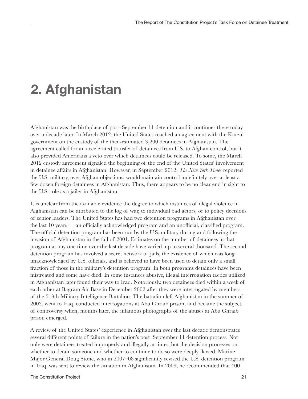# **2. Afghanistan**

Afghanistan was the birthplace of post–September 11 detention and it continues there today over a decade later. In March 2012, the United States reached an agreement with the Karzai government on the custody of the then-estimated 3,200 detainees in Afghanistan. The agreement called for an accelerated transfer of detainees from U.S. to Afghan control, but it also provided Americans a veto over which detainees could be released. To some, the March 2012 custody agreement signaled the beginning of the end of the United States' involvement in detainee affairs in Afghanistan. However, in September 2012, *The New York Times* reported the U.S. military, over Afghan objections, would maintain control indefinitely over at least a few dozen foreign detainees in Afghanistan. Thus, there appears to be no clear end in sight to the U.S. role as a jailer in Afghanistan.

It is unclear from the available evidence the degree to which instances of illegal violence in Afghanistan can be attributed to the fog of war, to individual bad actors, or to policy decisions of senior leaders. The United States has had two detention programs in Afghanistan over the last 10 years — an officially acknowledged program and an unofficial, classified program. The official detention program has been run by the U.S. military during and following the invasion of Afghanistan in the fall of 2001. Estimates on the number of detainees in that program at any one time over the last decade have varied, up to several thousand. The second detention program has involved a secret network of jails, the existence of which was long unacknowledged by U.S. officials, and is believed to have been used to detain only a small fraction of those in the military's detention program. In both programs detainees have been mistreated and some have died. In some instances abusive, illegal interrogation tactics utilized in Afghanistan later found their way to Iraq. Notoriously, two detainees died within a week of each other at Bagram Air Base in December 2002 after they were interrogated by members of the 519th Military Intelligence Battalion. The battalion left Afghanistan in the summer of 2003, went to Iraq, conducted interrogations at Abu Ghraib prison, and became the subject of controversy when, months later, the infamous photographs of the abuses at Abu Ghraib prison emerged.

A review of the United States' experience in Afghanistan over the last decade demonstrates several different points of failure in the nation's post–September 11 detention process. Not only were detainees treated improperly and illegally at times, but the decision processes on whether to detain someone and whether to continue to do so were deeply flawed. Marine Major General Doug Stone, who in 2007–08 significantly revised the U.S. detention program in Iraq, was sent to review the situation in Afghanistan. In 2009, he recommended that 400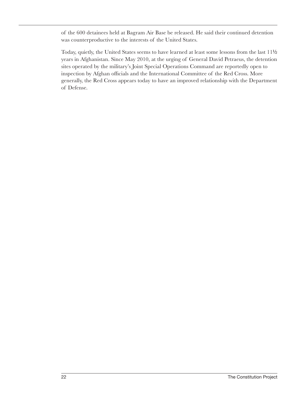of the 600 detainees held at Bagram Air Base be released. He said their continued detention was counterproductive to the interests of the United States.

Today, quietly, the United States seems to have learned at least some lessons from the last 111/2 years in Afghanistan. Since May 2010, at the urging of General David Petraeus, the detention sites operated by the military's Joint Special Operations Command are reportedly open to inspection by Afghan officials and the International Committee of the Red Cross. More generally, the Red Cross appears today to have an improved relationship with the Department of Defense.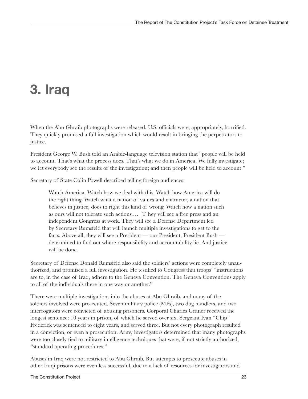# **3. Iraq**

When the Abu Ghraib photographs were released, U.S. officials were, appropriately, horrified. They quickly promised a full investigation which would result in bringing the perpetrators to justice.

President George W. Bush told an Arabic-language television station that "people will be held to account. That's what the process does. That's what we do in America. We fully investigate; we let everybody see the results of the investigation; and then people will be held to account."

Secretary of State Colin Powell described telling foreign audiences:

Watch America. Watch how we deal with this. Watch how America will do the right thing. Watch what a nation of values and character, a nation that believes in justice, does to right this kind of wrong. Watch how a nation such as ours will not tolerate such actions.… [T]hey will see a free press and an independent Congress at work. They will see a Defense Department led by Secretary Rumsfeld that will launch multiple investigations to get to the facts. Above all, they will see a President — our President, President Bush determined to find out where responsibility and accountability lie. And justice will be done.

Secretary of Defense Donald Rumsfeld also said the soldiers' actions were completely unauthorized, and promised a full investigation. He testified to Congress that troops' "instructions are to, in the case of Iraq, adhere to the Geneva Convention. The Geneva Conventions apply to all of the individuals there in one way or another."

There were multiple investigations into the abuses at Abu Ghraib, and many of the soldiers involved were prosecuted. Seven military police (MPs), two dog handlers, and two interrogators were convicted of abusing prisoners. Corporal Charles Graner received the longest sentence: 10 years in prison, of which he served over six. Sergeant Ivan "Chip" Frederick was sentenced to eight years, and served three. But not every photograph resulted in a conviction, or even a prosecution. Army investigators determined that many photographs were too closely tied to military intelligence techniques that were, if not strictly authorized, "standard operating procedures."

Abuses in Iraq were not restricted to Abu Ghraib. But attempts to prosecute abuses in other Iraqi prisons were even less successful, due to a lack of resources for investigators and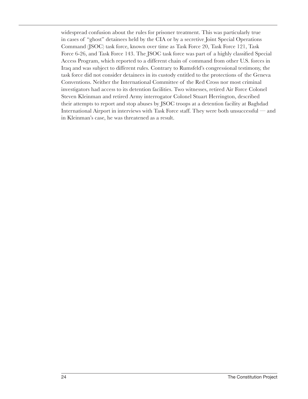widespread confusion about the rules for prisoner treatment. This was particularly true in cases of "ghost" detainees held by the CIA or by a secretive Joint Special Operations Command (JSOC) task force, known over time as Task Force 20, Task Force 121, Task Force 6-26, and Task Force 143. The JSOC task force was part of a highly classified Special Access Program, which reported to a different chain of command from other U.S. forces in Iraq and was subject to different rules. Contrary to Rumsfeld's congressional testimony, the task force did not consider detainees in its custody entitled to the protections of the Geneva Conventions. Neither the International Committee of the Red Cross nor most criminal investigators had access to its detention facilities. Two witnesses, retired Air Force Colonel Steven Kleinman and retired Army interrogator Colonel Stuart Herrington, described their attempts to report and stop abuses by JSOC troops at a detention facility at Baghdad International Airport in interviews with Task Force staff. They were both unsuccessful — and in Kleinman's case, he was threatened as a result.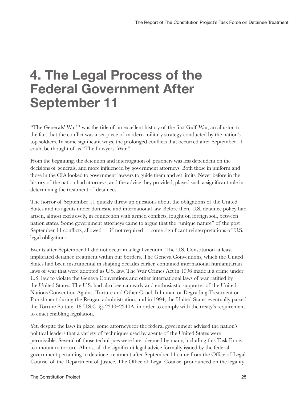### **4. The Legal Process of the Federal Government After September 11**

"The Generals' War"<sup>1</sup> was the title of an excellent history of the first Gulf War, an allusion to the fact that the conflict was a set-piece of modern military strategy conducted by the nation's top soldiers. In some significant ways, the prolonged conflicts that occurred after September 11 could be thought of as "The Lawyers' War."

From the beginning, the detention and interrogation of prisoners was less dependent on the decisions of generals, and more influenced by government attorneys. Both those in uniform and those in the CIA looked to government lawyers to guide them and set limits. Never before in the history of the nation had attorneys, and the advice they provided, played such a significant role in determining the treatment of detainees.

The horror of September 11 quickly threw up questions about the obligations of the United States and its agents under domestic and international law. Before then, U.S. detainee policy had arisen, almost exclusively, in connection with armed conflicts, fought on foreign soil, between nation states. Some government attorneys came to argue that the "unique nature" of the post– September 11 conflicts, allowed — if not required — some significant reinterpretations of U.S. legal obligations.

Events after September 11 did not occur in a legal vacuum. The U.S. Constitution at least implicated detainee treatment within our borders. The Geneva Conventions, which the United States had been instrumental in shaping decades earlier, contained international humanitarian laws of war that were adopted as U.S. law. The War Crimes Act in 1996 made it a crime under U.S. law to violate the Geneva Conventions and other international laws of war ratified by the United States. The U.S. had also been an early and enthusiastic supporter of the United Nations Convention Against Torture and Other Cruel, Inhuman or Degrading Treatment or Punishment during the Reagan administration, and in 1994, the United States eventually passed the Torture Statute, 18 U.S.C. §§ 2340–2340A, in order to comply with the treaty's requirement to enact enabling legislation.

Yet, despite the laws in place, some attorneys for the federal government advised the nation's political leaders that a variety of techniques used by agents of the United States were permissible. Several of those techniques were later deemed by many, including this Task Force, to amount to torture. Almost all the significant legal advice formally issued by the federal government pertaining to detainee treatment after September 11 came from the Office of Legal Counsel of the Department of Justice. The Office of Legal Counsel pronounced on the legality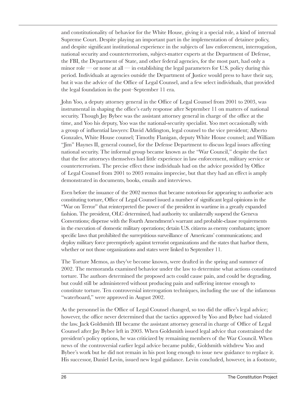and constitutionality of behavior for the White House, giving it a special role, a kind of internal Supreme Court. Despite playing an important part in the implementation of detainee policy, and despite significant institutional experience in the subjects of law enforcement, interrogation, national security and counterterrorism, subject-matter experts at the Department of Defense, the FBI, the Department of State, and other federal agencies, for the most part, had only a minor role — or none at all — in establishing the legal parameters for U.S. policy during this period. Individuals at agencies outside the Department of Justice would press to have their say, but it was the advice of the Office of Legal Counsel, and a few select individuals, that provided the legal foundation in the post–September 11 era.

John Yoo, a deputy attorney general in the Office of Legal Counsel from 2001 to 2003, was instrumental in shaping the office's early response after September 11 on matters of national security. Though Jay Bybee was the assistant attorney general in charge of the office at the time, and Yoo his deputy, Yoo was the national-security specialist. Yoo met occasionally with a group of influential lawyers: David Addington, legal counsel to the vice president; Alberto Gonzales, White House counsel; Timothy Flanigan, deputy White House counsel; and William "Jim" Haynes II, general counsel, for the Defense Department to discuss legal issues affecting national security. The informal group became known as the "War Council," despite the fact that the five attorneys themselves had little experience in law enforcement, military service or counterterrorism. The precise effect these individuals had on the advice provided by Office of Legal Counsel from 2001 to 2003 remains imprecise, but that they had an effect is amply demonstrated in documents, books, emails and interviews.

Even before the issuance of the 2002 memos that became notorious for appearing to authorize acts constituting torture, Office of Legal Counsel issued a number of significant legal opinions in the "War on Terror" that reinterpreted the power of the president in wartime in a greatly expanded fashion. The president, OLC determined, had authority to: unilaterally suspend the Geneva Conventions; dispense with the Fourth Amendment's warrant and probable-clause requirements in the execution of domestic military operations; detain U.S. citizens as enemy combatants; ignore specific laws that prohibited the surreptitious surveillance of Americans' communications; and deploy military force preemptively against terrorist organizations and the states that harbor them, whether or not those organizations and states were linked to September 11.

The Torture Memos, as they've become known, were drafted in the spring and summer of 2002. The memoranda examined behavior under the law to determine what actions constituted torture. The authors determined the proposed acts could cause pain, and could be degrading, but could still be administered without producing pain and suffering intense enough to constitute torture. Ten controversial interrogation techniques, including the use of the infamous "waterboard," were approved in August 2002.

As the personnel in the Office of Legal Counsel changed, so too did the office's legal advice; however, the office never determined that the tactics approved by Yoo and Bybee had violated the law. Jack Goldsmith III became the assistant attorney general in charge of Office of Legal Counsel after Jay Bybee left in 2003. When Goldsmith issued legal advice that constrained the president's policy options, he was criticized by remaining members of the War Council. When news of the controversial earlier legal advice became public, Goldsmith withdrew Yoo and Bybee's work but he did not remain in his post long enough to issue new guidance to replace it. His successor, Daniel Levin, issued new legal guidance. Levin concluded, however, in a footnote,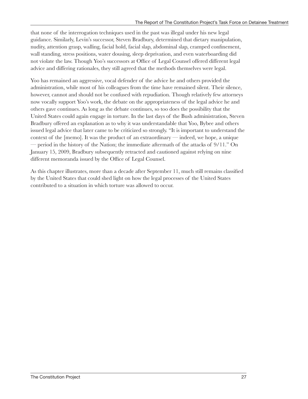that none of the interrogation techniques used in the past was illegal under his new legal guidance. Similarly, Levin's successor, Steven Bradbury, determined that dietary manipulation, nudity, attention grasp, walling, facial hold, facial slap, abdominal slap, cramped confinement, wall standing, stress positions, water dousing, sleep deprivation, and even waterboarding did not violate the law. Though Yoo's successors at Office of Legal Counsel offered different legal advice and differing rationales, they still agreed that the methods themselves were legal.

Yoo has remained an aggressive, vocal defender of the advice he and others provided the administration, while most of his colleagues from the time have remained silent. Their silence, however, cannot and should not be confused with repudiation. Though relatively few attorneys now vocally support Yoo's work, the debate on the appropriateness of the legal advice he and others gave continues. As long as the debate continues, so too does the possibility that the United States could again engage in torture. In the last days of the Bush administration, Steven Bradbury offered an explanation as to why it was understandable that Yoo, Bybee and others issued legal advice that later came to be criticized so strongly. "It is important to understand the context of the [memo]. It was the product of an extraordinary — indeed, we hope, a unique — period in the history of the Nation; the immediate aftermath of the attacks of 9/11." On January 15, 2009, Bradbury subsequently retracted and cautioned against relying on nine different memoranda issued by the Office of Legal Counsel.

As this chapter illustrates, more than a decade after September 11, much still remains classified by the United States that could shed light on how the legal processes of the United States contributed to a situation in which torture was allowed to occur.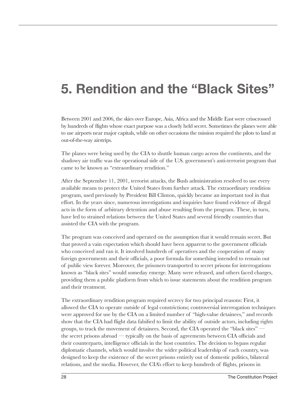# **5. Rendition and the "Black Sites"**

Between 2001 and 2006, the skies over Europe, Asia, Africa and the Middle East were crisscrossed by hundreds of flights whose exact purpose was a closely held secret. Sometimes the planes were able to use airports near major capitals, while on other occasions the mission required the pilots to land at out-of-the-way airstrips.

The planes were being used by the CIA to shuttle human cargo across the continents, and the shadowy air traffic was the operational side of the U.S. government's anti-terrorist program that came to be known as "extraordinary rendition."

After the September 11, 2001, terrorist attacks, the Bush administration resolved to use every available means to protect the United States from further attack. The extraordinary rendition program, used previously by President Bill Clinton, quickly became an important tool in that effort. In the years since, numerous investigations and inquiries have found evidence of illegal acts in the form of arbitrary detention and abuse resulting from the program. These, in turn, have led to strained relations between the United States and several friendly countries that assisted the CIA with the program.

The program was conceived and operated on the assumption that it would remain secret. But that proved a vain expectation which should have been apparent to the government officials who conceived and ran it. It involved hundreds of operatives and the cooperation of many foreign governments and their officials, a poor formula for something intended to remain out of public view forever. Moreover, the prisoners transported to secret prisons for interrogations known as "black sites" would someday emerge. Many were released, and others faced charges, providing them a public platform from which to issue statements about the rendition program and their treatment.

The extraordinary rendition program required secrecy for two principal reasons: First, it allowed the CIA to operate outside of legal constrictions; controversial interrogation techniques were approved for use by the CIA on a limited number of "high-value detainees," and records show that the CIA had flight data falsified to limit the ability of outside actors, including rights groups, to track the movement of detainees. Second, the CIA operated the "black sites" the secret prisons abroad — typically on the basis of agreements between CIA officials and their counterparts, intelligence officials in the host countries. The decision to bypass regular diplomatic channels, which would involve the wider political leadership of each country, was designed to keep the existence of the secret prisons entirely out of domestic politics, bilateral relations, and the media. However, the CIA's effort to keep hundreds of flights, prisons in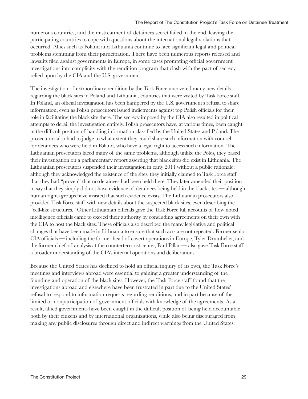numerous countries, and the mistreatment of detainees secret failed in the end, leaving the participating countries to cope with questions about the international legal violations that occurred. Allies such as Poland and Lithuania continue to face significant legal and political problems stemming from their participation. There have been numerous reports released and lawsuits filed against governments in Europe, in some cases prompting official government investigations into complicity with the rendition program that clash with the pact of secrecy relied upon by the CIA and the U.S. government.

The investigation of extraordinary rendition by the Task Force uncovered many new details regarding the black sites in Poland and Lithuania, countries that were visited by Task Force staff. In Poland, an official investigation has been hampered by the U.S. government's refusal to share information, even as Polish prosecutors issued indictments against top Polish officials for their role in facilitating the black site there. The secrecy imposed by the CIA also resulted in political attempts to derail the investigation entirely. Polish prosecutors have, at various times, been caught in the difficult position of handling information classified by the United States and Poland. The prosecutors also had to judge to what extent they could share such information with counsel for detainees who were held in Poland, who have a legal right to access such information. The Lithuanian prosecutors faced many of the same problems, although unlike the Poles, they based their investigation on a parliamentary report asserting that black sites did exist in Lithuania. The Lithuanian prosecutors suspended their investigation in early 2011 without a public rationale; although they acknowledged the existence of the sites, they initially claimed to Task Force staff that they had "proven" that no detainees had been held there. They later amended their position to say that they simply did not have evidence of detainees being held in the black sites — although human rights groups have insisted that such evidence exists. The Lithuanian prosecutors also provided Task Force staff with new details about the suspected black sites, even describing the "cell-like structures." Other Lithuanian officials gave the Task Force full accounts of how noted intelligence officials came to exceed their authority by concluding agreements on their own with the CIA to host the black sites. These officials also described the many legislative and political changes that have been made in Lithuania to ensure that such acts are not repeated. Former senior CIA officials — including the former head of covert operations in Europe, Tyler Drumheller, and the former chief of analysis at the counterterrorist center, Paul Pillar — also gave Task Force staff a broader understanding of the CIA's internal operations and deliberations.

Because the United States has declined to hold an official inquiry of its own, the Task Force's meetings and interviews abroad were essential to gaining a greater understanding of the founding and operation of the black sites. However, the Task Force staff found that the investigations abroad and elsewhere have been frustrated in part due to the United States' refusal to respond to information requests regarding renditions, and in part because of the limited or nonparticipation of government officials with knowledge of the agreements. As a result, allied governments have been caught in the difficult position of being held accountable both by their citizens and by international organizations, while also being discouraged from making any public disclosures through direct and indirect warnings from the United States.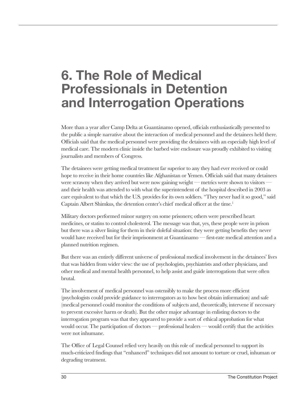## **6. The Role of Medical Professionals in Detention and Interrogation Operations**

More than a year after Camp Delta at Guantánamo opened, officials enthusiastically presented to the public a simple narrative about the interaction of medical personnel and the detainees held there. Officials said that the medical personnel were providing the detainees with an especially high level of medical care. The modern clinic inside the barbed wire enclosure was proudly exhibited to visiting journalists and members of Congress.

The detainees were getting medical treatment far superior to any they had ever received or could hope to receive in their home countries like Afghanistan or Yemen. Officials said that many detainees were scrawny when they arrived but were now gaining weight — metrics were shown to visitors and their health was attended to with what the superintendent of the hospital described in 2003 as care equivalent to that which the U.S. provides for its own soldiers. "They never had it so good," said Captain Albert Shimkus, the detention center's chief medical officer at the time.<sup>1</sup>

Military doctors performed minor surgery on some prisoners; others were prescribed heart medicines, or statins to control cholesterol. The message was that, yes, these people were in prison but there was a silver lining for them in their doleful situation: they were getting benefits they never would have received but for their imprisonment at Guantánamo — first-rate medical attention and a planned nutrition regimen.

But there was an entirely different universe of professional medical involvement in the detainees' lives that was hidden from wider view: the use of psychologists, psychiatrists and other physicians, and other medical and mental health personnel, to help assist and guide interrogations that were often brutal.

The involvement of medical personnel was ostensibly to make the process more efficient (psychologists could provide guidance to interrogators as to how best obtain information) and safe (medical personnel could monitor the conditions of subjects and, theoretically, intervene if necessary to prevent excessive harm or death). But the other major advantage in enlisting doctors to the interrogation program was that they appeared to provide a sort of ethical approbation for what would occur. The participation of doctors — professional healers — would certify that the activities were not inhumane.

The Office of Legal Counsel relied very heavily on this role of medical personnel to support its much-criticized findings that "enhanced" techniques did not amount to torture or cruel, inhuman or degrading treatment.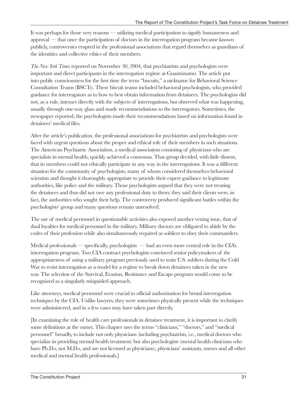It was perhaps for those very reasons — utilizing medical participation to signify humaneness and approval — that once the participation of doctors in the interrogation program became known publicly, controversies erupted in the professional associations that regard themselves as guardians of the identities and collective ethics of their members.

*The New York Times* reported on November 30, 2004, that psychiatrists and psychologists were important and direct participants in the interrogation regime at Guantánamo. The article put into public consciousness for the first time the term "biscuits," a nickname for Behavioral Science Consultation Teams (BSCTs). These biscuit teams included behavioral psychologists, who provided guidance for interrogators as to how to best obtain information from detainees. The psychologists did not, as a rule, interact directly with the subjects of interrogations, but observed what was happening, usually through one-way glass and made recommendations to the interrogators. Sometimes, the newspaper reported, the psychologists made their recommendations based on information found in detainees' medical files.

After the article's publication, the professional associations for psychiatrists and psychologists were faced with urgent questions about the proper and ethical role of their members in such situations. The American Psychiatric Association, a medical association consisting of physicians who are specialists in mental health, quickly achieved a consensus. That group decided, with little dissent, that its members could not ethically participate in any way in the interrogations. It was a different situation for the community of psychologists, many of whom considered themselves behavioral scientists and thought it thoroughly appropriate to provide their expert guidance to legitimate authorities, like police and the military. Those psychologists argued that they were not treating the detainees and thus did not owe any professional duty to them; they said their clients were, in fact, the authorities who sought their help. The controversy produced significant battles within the psychologists' group and many questions remain unresolved.

The use of medical personnel in questionable activities also exposed another vexing issue, that of dual loyalties for medical personnel in the military. Military doctors are obligated to abide by the codes of their profession while also simultaneously required as soldiers to obey their commanders.

Medical professionals — specifically, psychologists — had an even more central role in the CIA's interrogation program. Two CIA contract psychologists convinced senior policymakers of the appropriateness of using a military program previously used to train U.S. soldiers during the Cold War to resist interrogation as a model for a regime to break down detainees taken in the new war. The selection of the Survival, Evasion, Resistance and Escape program would come to be recognized as a singularly misguided approach.

Like attorneys, medical personnel were crucial to official authorization for brutal interrogation techniques by the CIA. Unlike lawyers, they were sometimes physically present while the techniques were administered, and in a few cases may have taken part directly.

[In examining the role of health care professionals in detainee treatment, it is important to clarify some definitions at the outset. This chapter uses the terms "clinicians," "doctors," and "medical personnel" broadly, to include not only physicians (including psychiatrists, i.e., medical doctors who specialize in providing mental health treatment) but also psychologists (mental health clinicians who have Ph.D.s, not M.D.s, and are not licensed as physicians), physicians' assistants, nurses and all other medical and mental health professionals.]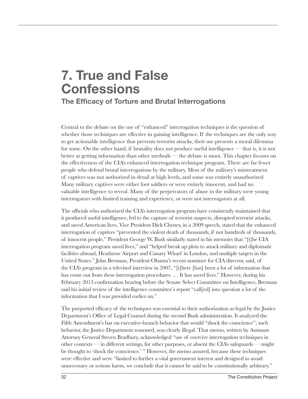# **7. True and False Confessions**

**The Efficacy of Torture and Brutal Interrogations**

Central to the debate on the use of "enhanced" interrogation techniques is the question of whether those techniques are effective in gaining intelligence. If the techniques are the only way to get actionable intelligence that prevents terrorist attacks, their use presents a moral dilemma for some. On the other hand, if brutality does not produce useful intelligence — that is, it is not better at getting information than other methods — the debate is moot. This chapter focuses on the effectiveness of the CIA's enhanced interrogation technique program. There are far fewer people who defend brutal interrogations by the military. Most of the military's mistreatment of captives was not authorized in detail at high levels, and some was entirely unauthorized. Many military captives were either foot soldiers or were entirely innocent, and had no valuable intelligence to reveal. Many of the perpetrators of abuse in the military were young interrogators with limited training and experience, or were not interrogators at all.

The officials who authorized the CIA's interrogation program have consistently maintained that it produced useful intelligence, led to the capture of terrorist suspects, disrupted terrorist attacks, and saved American lives. Vice President Dick Cheney, in a 2009 speech, stated that the enhanced interrogation of captives "prevented the violent death of thousands, if not hundreds of thousands, of innocent people." President George W. Bush similarly stated in his memoirs that "[t]he CIA interrogation program saved lives," and "helped break up plots to attack military and diplomatic facilities abroad, Heathrow Airport and Canary Wharf in London, and multiple targets in the United States." John Brennan, President Obama's recent nominee for CIA director, said, of the CIA's program in a televised interview in 2007, "[t]here [has] been a lot of information that has come out from these interrogation procedures. ... It has saved lives." However, during his February 2013 confirmation hearing before the Senate Select Committee on Intelligence, Brennan said his initial review of the intelligence committee's report "call[ed] into question a lot of the information that I was provided earlier on."

The purported efficacy of the techniques was essential to their authorization as legal by the Justice Department's Office of Legal Counsel during the second Bush administration. It analyzed the Fifth Amendment's bar on executive-branch behavior that would "shock the conscience"; such behavior, the Justice Department reasoned, was clearly illegal. That memo, written by Assistant Attorney General Steven Bradbury, acknowledged "use of coercive interrogation techniques in other contexts — in different settings, for other purposes, or absent the CIA's safeguards — might be thought to 'shock the conscience.' " However, the memo assured, because these techniques were effective and were "limited to further a vital government interest and designed to avoid unnecessary or serious harm, we conclude that it cannot be said to be constitutionally arbitrary."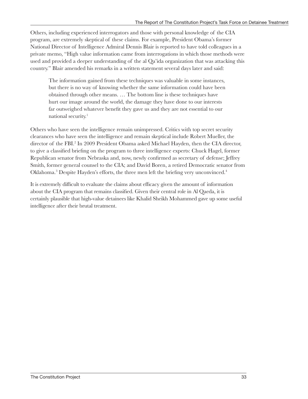Others, including experienced interrogators and those with personal knowledge of the CIA program, are extremely skeptical of these claims. For example, President Obama's former National Director of Intelligence Admiral Dennis Blair is reported to have told colleagues in a private memo, "High value information came from interrogations in which those methods were used and provided a deeper understanding of the al Qa'ida organization that was attacking this country." Blair amended his remarks in a written statement several days later and said:

The information gained from these techniques was valuable in some instances, but there is no way of knowing whether the same information could have been obtained through other means. … The bottom line is these techniques have hurt our image around the world, the damage they have done to our interests far outweighed whatever benefit they gave us and they are not essential to our national security.<sup>1</sup>

Others who have seen the intelligence remain unimpressed. Critics with top secret security clearances who have seen the intelligence and remain skeptical include Robert Mueller, the director of the FBI.<sup>2</sup> In 2009 President Obama asked Michael Hayden, then the CIA director, to give a classified briefing on the program to three intelligence experts: Chuck Hagel, former Republican senator from Nebraska and, now, newly confirmed as secretary of defense; Jeffrey Smith, former general counsel to the CIA; and David Boren, a retired Democratic senator from Oklahoma.<sup>3</sup> Despite Hayden's efforts, the three men left the briefing very unconvinced.<sup>4</sup>

It is extremely difficult to evaluate the claims about efficacy given the amount of information about the CIA program that remains classified. Given their central role in Al Qaeda, it is certainly plausible that high-value detainees like Khalid Sheikh Mohammed gave up some useful intelligence after their brutal treatment.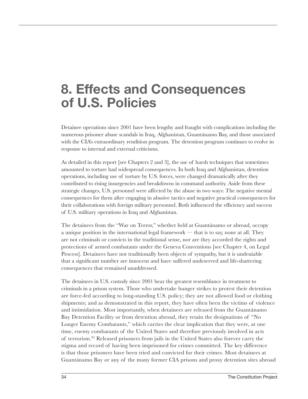### **8. Effects and Consequences of U.S. Policies**

Detainee operations since 2001 have been lengthy and fraught with complications including the numerous prisoner abuse scandals in Iraq, Afghanistan, Guantánamo Bay, and those associated with the CIA's extraordinary rendition program. The detention program continues to evolve in response to internal and external criticisms.

As detailed in this report [see Chapters 2 and 3], the use of harsh techniques that sometimes amounted to torture had widespread consequences. In both Iraq and Afghanistan, detention operations, including use of torture by U.S. forces, were changed dramatically after they contributed to rising insurgencies and breakdowns in command authority. Aside from these strategic changes, U.S. personnel were affected by the abuse in two ways: The negative mental consequences for them after engaging in abusive tactics and negative practical consequences for their collaborations with foreign military personnel. Both influenced the efficiency and success of U.S. military operations in Iraq and Afghanistan.

The detainees from the "War on Terror," whether held at Guantánamo or abroad, occupy a unique position in the international legal framework — that is to say, none at all. They are not criminals or convicts in the traditional sense, nor are they accorded the rights and protections of armed combatants under the Geneva Conventions [see Chapter 4, on Legal Process]. Detainees have not traditionally been objects of sympathy, but it is undeniable that a significant number are innocent and have suffered undeserved and life-shattering consequences that remained unaddressed.

The detainees in U.S. custody since 2001 bear the greatest resemblance in treatment to criminals in a prison system. Those who undertake hunger strikes to protest their detention are force-fed according to long-standing U.S. policy; they are not allowed food or clothing shipments; and as demonstrated in this report, they have often been the victims of violence and intimidation. Most importantly, when detainees are released from the Guantánamo Bay Detention Facility or from detention abroad, they retain the designations of "No Longer Enemy Combatants," which carries the clear implication that they were, at one time, enemy combatants of the United States and therefore previously involved in acts of terrorism.83 Released prisoners from jails in the United States also forever carry the stigma and record of having been imprisoned for crimes committed. The key difference is that those prisoners have been tried and convicted for their crimes. Most detainees at Guantánamo Bay or any of the many former CIA prisons and proxy detention sites abroad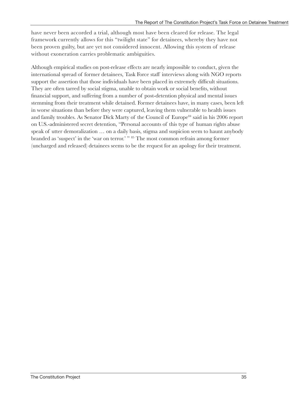have never been accorded a trial, although most have been cleared for release. The legal framework currently allows for this "twilight state" for detainees, whereby they have not been proven guilty, but are yet not considered innocent. Allowing this system of release without exoneration carries problematic ambiguities.

Although empirical studies on post-release effects are nearly impossible to conduct, given the international spread of former detainees, Task Force staff interviews along with NGO reports support the assertion that those individuals have been placed in extremely difficult situations. They are often tarred by social stigma, unable to obtain work or social benefits, without financial support, and suffering from a number of post-detention physical and mental issues stemming from their treatment while detained. Former detainees have, in many cases, been left in worse situations than before they were captured, leaving them vulnerable to health issues and family troubles. As Senator Dick Marty of the Council of Europe<sup>84</sup> said in his 2006 report on U.S.-administered secret detention, "Personal accounts of this type of human rights abuse speak of utter demoralization ... on a daily basis, stigma and suspicion seem to haunt anybody branded as 'suspect' in the 'war on terror.' " 85 The most common refrain among former (uncharged and released) detainees seems to be the request for an apology for their treatment.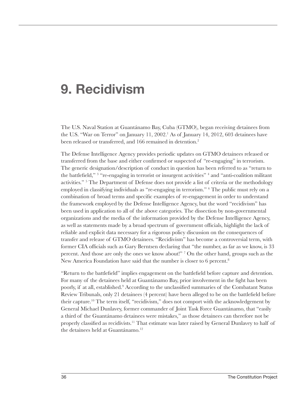### **9. Recidivism**

The U.S. Naval Station at Guantánamo Bay, Cuba (GTMO), began receiving detainees from the U.S. "War on Terror" on January 11, 2002.<sup>1</sup> As of January 14, 2012, 603 detainees have been released or transferred, and 166 remained in detention.<sup>2</sup>

The Defense Intelligence Agency provides periodic updates on GTMO detainees released or transferred from the base and either confirmed or suspected of "re-engaging" in terrorism. The generic designation/description of conduct in question has been referred to as "return to the battlefield,"<sup>3</sup> "re-engaging in terrorist or insurgent activities" <sup>4</sup> and "anti-coalition militant activities."<sup>5</sup> The Department of Defense does not provide a list of criteria or the methodology employed in classifying individuals as "re-engaging in terrorism." 6 The public must rely on a combination of broad terms and specific examples of re-engagement in order to understand the framework employed by the Defense Intelligence Agency, but the word "recidivism" has been used in application to all of the above categories. The dissection by non-governmental organizations and the media of the information provided by the Defense Intelligence Agency, as well as statements made by a broad spectrum of government officials, highlight the lack of reliable and explicit data necessary for a rigorous policy discussion on the consequences of transfer and release of GTMO detainees. "Recidivism" has become a controversial term, with former CIA officials such as Gary Berntsen declaring that "the number, as far as we know, is 33 percent. And those are only the ones we know about!" <sup>7</sup> On the other hand, groups such as the New America Foundation have said that the number is closer to 6 percent.<sup>8</sup>

"Return to the battlefield" implies engagement on the battlefield before capture and detention. For many of the detainees held at Guantánamo Bay, prior involvement in the fight has been poorly, if at all, established.<sup>9</sup> According to the unclassified summaries of the Combatant Status Review Tribunals, only 21 detainees (4 percent) have been alleged to be on the battlefield before their capture.10 The term itself, "recidivism," does not comport with the acknowledgement by General Michael Dunlavey, former commander of Joint Task Force Guantánamo, that "easily a third of the Guantánamo detainees were mistakes," as those detainees can therefore not be properly classified as recidivists.11 That estimate was later raised by General Dunlavey to half of the detainees held at Guantánamo.<sup>12</sup>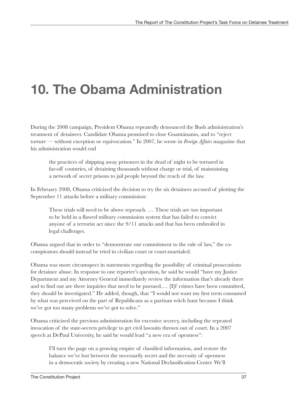# **10. The Obama Administration**

During the 2008 campaign, President Obama repeatedly denounced the Bush administration's treatment of detainees. Candidate Obama promised to close Guantánamo, and to "reject torture — without exception or equivocation." In 2007, he wrote in *Foreign Affairs* magazine that his administration would end

the practices of shipping away prisoners in the dead of night to be tortured in far-off countries, of detaining thousands without charge or trial, of maintaining a network of secret prisons to jail people beyond the reach of the law.

In February 2008, Obama criticized the decision to try the six detainees accused of plotting the September 11 attacks before a military commission:

These trials will need to be above reproach. … These trials are too important to be held in a flawed military commission system that has failed to convict anyone of a terrorist act since the 9/11 attacks and that has been embroiled in legal challenges.

Obama argued that in order to "demonstrate our commitment to the rule of law," the coconspirators should instead be tried in civilian court or court-martialed.

Obama was more circumspect in statements regarding the possibility of criminal prosecutions for detainee abuse. In response to one reporter's question, he said he would "have my Justice Department and my Attorney General immediately review the information that's already there and to find out are there inquiries that need to be pursued.… [I]f crimes have been committed, they should be investigated." He added, though, that "I would not want my first term consumed by what was perceived on the part of Republicans as a partisan witch hunt because I think we've got too many problems we've got to solve."

Obama criticized the previous administration for excessive secrecy, including the repeated invocation of the state-secrets privilege to get civil lawsuits thrown out of court. In a 2007 speech at DePaul University, he said he would lead "a new era of openness":

I'll turn the page on a growing empire of classified information, and restore the balance we've lost between the necessarily secret and the necessity of openness in a democratic society by creating a new National Declassification Center. We'll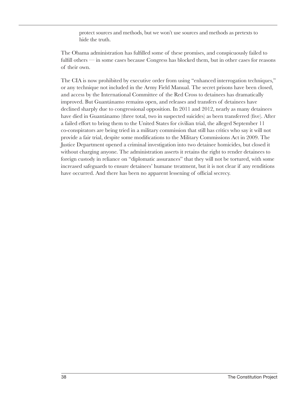protect sources and methods, but we won't use sources and methods as pretexts to hide the truth.

The Obama administration has fulfilled some of these promises, and conspicuously failed to fulfill others — in some cases because Congress has blocked them, but in other cases for reasons of their own.

The CIA is now prohibited by executive order from using "enhanced interrogation techniques," or any technique not included in the Army Field Manual. The secret prisons have been closed, and access by the International Committee of the Red Cross to detainees has dramatically improved. But Guantánamo remains open, and releases and transfers of detainees have declined sharply due to congressional opposition. In 2011 and 2012, nearly as many detainees have died in Guantánamo (three total, two in suspected suicides) as been transferred (five). After a failed effort to bring them to the United States for civilian trial, the alleged September 11 co-conspirators are being tried in a military commission that still has critics who say it will not provide a fair trial, despite some modifications to the Military Commissions Act in 2009. The Justice Department opened a criminal investigation into two detainee homicides, but closed it without charging anyone. The administration asserts it retains the right to render detainees to foreign custody in reliance on "diplomatic assurances" that they will not be tortured, with some increased safeguards to ensure detainees' humane treatment, but it is not clear if any renditions have occurred. And there has been no apparent lessening of official secrecy.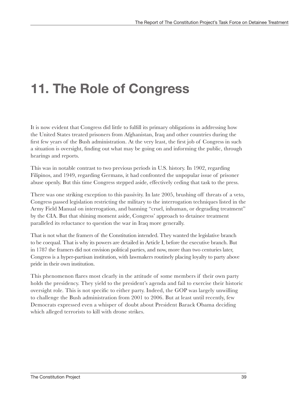# **11. The Role of Congress**

It is now evident that Congress did little to fulfill its primary obligations in addressing how the United States treated prisoners from Afghanistan, Iraq and other countries during the first few years of the Bush administration. At the very least, the first job of Congress in such a situation is oversight, finding out what may be going on and informing the public, through hearings and reports.

This was in notable contrast to two previous periods in U.S. history. In 1902, regarding Filipinos, and 1949, regarding Germans, it had confronted the unpopular issue of prisoner abuse openly. But this time Congress stepped aside, effectively ceding that task to the press.

There was one striking exception to this passivity. In late 2005, brushing off threats of a veto, Congress passed legislation restricting the military to the interrogation techniques listed in the Army Field Manual on interrogation, and banning "cruel, inhuman, or degrading treatment" by the CIA. But that shining moment aside, Congress' approach to detainee treatment paralleled its reluctance to question the war in Iraq more generally.

That is not what the framers of the Constitution intended. They wanted the legislative branch to be coequal. That is why its powers are detailed in Article I, before the executive branch. But in 1787 the framers did not envision political parties, and now, more than two centuries later, Congress is a hyper-partisan institution, with lawmakers routinely placing loyalty to party above pride in their own institution.

This phenomenon flares most clearly in the attitude of some members if their own party holds the presidency. They yield to the president's agenda and fail to exercise their historic oversight role. This is not specific to either party. Indeed, the GOP was largely unwilling to challenge the Bush administration from 2001 to 2006. But at least until recently, few Democrats expressed even a whisper of doubt about President Barack Obama deciding which alleged terrorists to kill with drone strikes.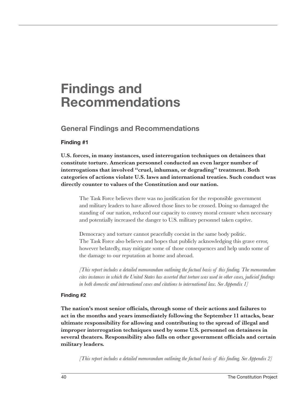### **Findings and Recommendations**

**General Findings and Recommendations** 

#### **Finding #1**

**U.S. forces, in many instances, used interrogation techniques on detainees that constitute torture. American personnel conducted an even larger number of interrogations that involved "cruel, inhuman, or degrading" treatment. Both categories of actions violate U.S. laws and international treaties. Such conduct was directly counter to values of the Constitution and our nation.** 

The Task Force believes there was no justification for the responsible government and military leaders to have allowed those lines to be crossed. Doing so damaged the standing of our nation, reduced our capacity to convey moral censure when necessary and potentially increased the danger to U.S. military personnel taken captive.

Democracy and torture cannot peacefully coexist in the same body politic. The Task Force also believes and hopes that publicly acknowledging this grave error, however belatedly, may mitigate some of those consequences and help undo some of the damage to our reputation at home and abroad.

*[This report includes a detailed memorandum outlining the factual basis of this finding. The memorandum cites instances in which the United States has asserted that torture was used in other cases, judicial findings in both domestic and international cases and citations to international law. See Appendix 1]*

#### **Finding #2**

**The nation's most senior officials, through some of their actions and failures to act in the months and years immediately following the September 11 attacks, bear ultimate responsibility for allowing and contributing to the spread of illegal and improper interrogation techniques used by some U.S. personnel on detainees in several theaters. Responsibility also falls on other government officials and certain military leaders.** 

*[This report includes a detailed memorandum outlining the factual basis of this finding. See Appendix 2]*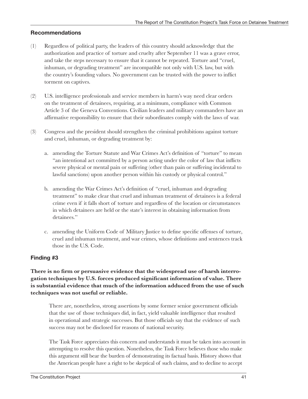#### **Recommendations**

- (1) Regardless of political party, the leaders of this country should acknowledge that the authorization and practice of torture and cruelty after September 11 was a grave error, and take the steps necessary to ensure that it cannot be repeated. Torture and "cruel, inhuman, or degrading treatment" are incompatible not only with U.S. law, but with the country's founding values. No government can be trusted with the power to inflict torment on captives.
- (2) U.S. intelligence professionals and service members in harm's way need clear orders on the treatment of detainees, requiring, at a minimum, compliance with Common Article 3 of the Geneva Conventions. Civilian leaders and military commanders have an affirmative responsibility to ensure that their subordinates comply with the laws of war.
- (3) Congress and the president should strengthen the criminal prohibitions against torture and cruel, inhuman, or degrading treatment by:
	- a. amending the Torture Statute and War Crimes Act's definition of "torture" to mean "an intentional act committed by a person acting under the color of law that inflicts severe physical or mental pain or suffering (other than pain or suffering incidental to lawful sanctions) upon another person within his custody or physical control."
	- b. amending the War Crimes Act's definition of "cruel, inhuman and degrading treatment" to make clear that cruel and inhuman treatment of detainees is a federal crime even if it falls short of torture and regardless of the location or circumstances in which detainees are held or the state's interest in obtaining information from detainees."
	- c. amending the Uniform Code of Military Justice to define specific offenses of torture, cruel and inhuman treatment, and war crimes, whose definitions and sentences track those in the U.S. Code.

#### **Finding #3**

**There is no firm or persuasive evidence that the widespread use of harsh interrogation techniques by U.S. forces produced significant information of value. There is substantial evidence that much of the information adduced from the use of such techniques was not useful or reliable.**

There are, nonetheless, strong assertions by some former senior government officials that the use of those techniques did, in fact, yield valuable intelligence that resulted in operational and strategic successes. But those officials say that the evidence of such success may not be disclosed for reasons of national security.

The Task Force appreciates this concern and understands it must be taken into account in attempting to resolve this question. Nonetheless, the Task Force believes those who make this argument still bear the burden of demonstrating its factual basis. History shows that the American people have a right to be skeptical of such claims, and to decline to accept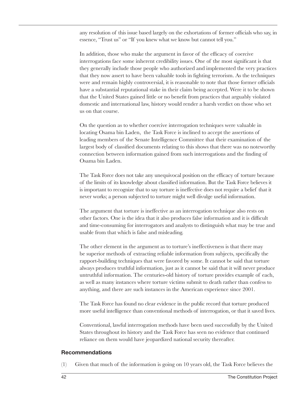any resolution of this issue based largely on the exhortations of former officials who say, in essence, "Trust us" or "If you knew what we know but cannot tell you."

In addition, those who make the argument in favor of the efficacy of coercive interrogations face some inherent credibility issues. One of the most significant is that they generally include those people who authorized and implemented the very practices that they now assert to have been valuable tools in fighting terrorism. As the techniques were and remain highly controversial, it is reasonable to note that those former officials have a substantial reputational stake in their claim being accepted. Were it to be shown that the United States gained little or no benefit from practices that arguably violated domestic and international law, history would render a harsh verdict on those who set us on that course.

On the question as to whether coercive interrogation techniques were valuable in locating Osama bin Laden, the Task Force is inclined to accept the assertions of leading members of the Senate Intelligence Committee that their examination of the largest body of classified documents relating to this shows that there was no noteworthy connection between information gained from such interrogations and the finding of Osama bin Laden.

The Task Force does not take any unequivocal position on the efficacy of torture because of the limits of its knowledge about classified information. But the Task Force believes it is important to recognize that to say torture is ineffective does not require a belief that it never works; a person subjected to torture might well divulge useful information.

The argument that torture is ineffective as an interrogation technique also rests on other factors. One is the idea that it also produces false information and it is difficult and time-consuming for interrogators and analysts to distinguish what may be true and usable from that which is false and misleading.

The other element in the argument as to torture's ineffectiveness is that there may be superior methods of extracting reliable information from subjects, specifically the rapport-building techniques that were favored by some. It cannot be said that torture always produces truthful information, just as it cannot be said that it will never produce untruthful information. The centuries-old history of torture provides example of each, as well as many instances where torture victims submit to death rather than confess to anything, and there are such instances in the American experience since 2001.

The Task Force has found no clear evidence in the public record that torture produced more useful intelligence than conventional methods of interrogation, or that it saved lives.

Conventional, lawful interrogation methods have been used successfully by the United States throughout its history and the Task Force has seen no evidence that continued reliance on them would have jeopardized national security thereafter.

#### **Recommendations**

(1) Given that much of the information is going on 10 years old, the Task Force believes the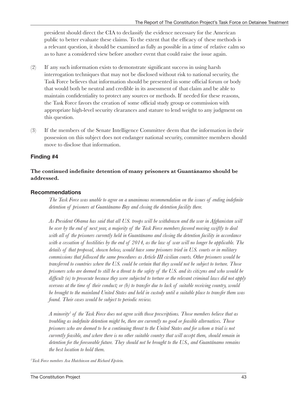president should direct the CIA to declassify the evidence necessary for the American public to better evaluate these claims. To the extent that the efficacy of these methods is a relevant question, it should be examined as fully as possible in a time of relative calm so as to have a considered view before another event that could raise the issue again.

- (2) If any such information exists to demonstrate significant success in using harsh interrogation techniques that may not be disclosed without risk to national security, the Task Force believes that information should be presented in some official forum or body that would both be neutral and credible in its assessment of that claim and be able to maintain confidentiality to protect any sources or methods. If needed for these reasons, the Task Force favors the creation of some official study group or commission with appropriate high-level security clearances and stature to lend weight to any judgment on this question.
- (3) If the members of the Senate Intelligence Committee deem that the information in their possession on this subject does not endanger national security, committee members should move to disclose that information.

#### **Finding #4**

#### **The continued indefinite detention of many prisoners at Guantánamo should be addressed.**

#### **Recommendations**

*The Task Force was unable to agree on a unanimous recommendation on the issues of ending indefinite detention of prisoners at Guantánamo Bay and closing the detention facility there.* 

*As President Obama has said that all U.S. troops will be withdrawn and the war in Afghanistan will be over by the end of next year, a majority of the Task Force members favored moving swiftly to deal with all of the prisoners currently held in Guantánamo and closing the detention facility in accordance with a cessation of hostilities by the end of 2014, as the law of war will no longer be applicable. The details of that proposal, shown below, would have some prisoners tried in U.S. courts or in military commissions that followed the same procedures as Article III civilian courts. Other prisoners would be transferred to countries where the U.S. could be certain that they would not be subject to torture. Those prisoners who are deemed to still be a threat to the safety of the U.S. and its citizens and who would be difficult (a) to prosecute because they were subjected to torture or the relevant criminal laws did not apply overseas at the time of their conduct; or (b) to transfer due to lack of suitable receiving country, would be brought to the mainland United States and held in custody until a suitable place to transfer them was found. Their cases would be subject to periodic review.*

*A minority1 of the Task Force does not agree with those prescriptions. Those members believe that as troubling as indefinite detention might be, there are currently no good or feasible alternatives. Those prisoners who are deemed to be a continuing threat to the United States and for whom a trial is not currently feasible, and where there is no other suitable country that will accept them, should remain in detention for the foreseeable future. They should not be brought to the U.S., and Guantánamo remains the best location to hold them.* 

*1 Task Force members Asa Hutchinson and Richard Epstein.*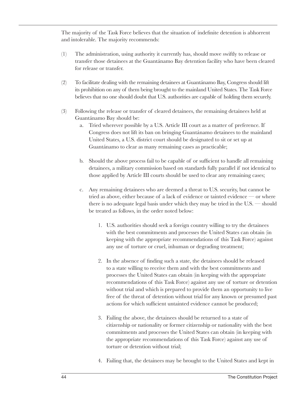The majority of the Task Force believes that the situation of indefinite detention is abhorrent and intolerable. The majority recommends:

- (1) The administration, using authority it currently has, should move swiftly to release or transfer those detainees at the Guantánamo Bay detention facility who have been cleared for release or transfer.
- (2) To facilitate dealing with the remaining detainees at Guantánamo Bay, Congress should lift its prohibition on any of them being brought to the mainland United States. The Task Force believes that no one should doubt that U.S. authorities are capable of holding them securely.
- (3) Following the release or transfer of cleared detainees, the remaining detainees held at Guantánamo Bay should be:
	- a. Tried wherever possible by a U.S. Article III court as a matter of preference. If Congress does not lift its ban on bringing Guantánamo detainees to the mainland United States, a U.S. district court should be designated to sit or set up at Guantánamo to clear as many remaining cases as practicable;
	- b. Should the above process fail to be capable of or sufficient to handle all remaining detainees, a military commission based on standards fully parallel if not identical to those applied by Article III courts should be used to clear any remaining cases;
	- c. Any remaining detainees who are deemed a threat to U.S. security, but cannot be tried as above, either because of a lack of evidence or tainted evidence — or where there is no adequate legal basis under which they may be tried in the U.S. — should be treated as follows, in the order noted below:
		- 1. U.S. authorities should seek a foreign country willing to try the detainees with the best commitments and processes the United States can obtain (in keeping with the appropriate recommendations of this Task Force) against any use of torture or cruel, inhuman or degrading treatment;
		- 2. In the absence of finding such a state, the detainees should be released to a state willing to receive them and with the best commitments and processes the United States can obtain (in keeping with the appropriate recommendations of this Task Force) against any use of torture or detention without trial and which is prepared to provide them an opportunity to live free of the threat of detention without trial for any known or presumed past actions for which sufficient untainted evidence cannot be produced;
		- 3. Failing the above, the detainees should be returned to a state of citizenship or nationality or former citizenship or nationality with the best commitments and processes the United States can obtain (in keeping with the appropriate recommendations of this Task Force) against any use of torture or detention without trial;
		- 4. Failing that, the detainees may be brought to the United States and kept in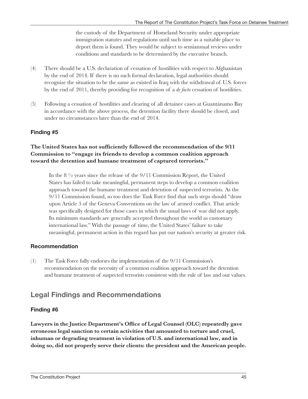the custody of the Department of Homeland Security under appropriate immigration statutes and regulations until such time as a suitable place to deport them is found. They would be subject to semiannual reviews under conditions and standards to be determined by the executive branch.

- (4) There should be a U.S. declaration of cessation of hostilities with respect to Afghanistan by the end of 2014. If there is no such formal declaration, legal authorities should recognize the situation to be the same as existed in Iraq with the withdrawal of U.S. forces by the end of 2011, thereby providing for recognition of a *de facto* cessation of hostilities.
- (5) Following a cessation of hostilities and clearing of all detainee cases at Guantánamo Bay in accordance with the above process, the detention facility there should be closed, and under no circumstances later than the end of 2014.

#### **Finding #5**

#### **The United States has not sufficiently followed the recommendation of the 9/11 Commission to "engage its friends to develop a common coalition approach toward the detention and humane treatment of captured terrorists."**

In the 8 ½ years since the release of the 9/11 Commission Report, the United States has failed to take meaningful, permanent steps to develop a common coalition approach toward the humane treatment and detention of suspected terrorists. As the 9/11 Commission found, so too does the Task Force find that such steps should "draw upon Article 3 of the Geneva Conventions on the law of armed conflict. That article was specifically designed for those cases in which the usual laws of war did not apply. Its minimum standards are generally accepted throughout the world as customary international law." With the passage of time, the United States' failure to take meaningful, permanent action in this regard has put our nation's security at greater risk.

#### **Recommendation**

(1) The Task Force fully endorses the implementation of the 9/11 Commission's recommendation on the necessity of a common coalition approach toward the detention and humane treatment of suspected terrorists consistent with the rule of law and our values.

### **Legal Findings and Recommendations**

#### **Finding #6**

**Lawyers in the Justice Department's Office of Legal Counsel (OLC) repeatedly gave erroneous legal sanction to certain activities that amounted to torture and cruel, inhuman or degrading treatment in violation of U.S. and international law, and in doing so, did not properly serve their clients: the president and the American people.**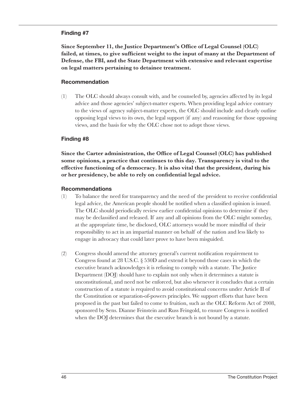#### **Finding #7**

**Since September 11, the Justice Department's Office of Legal Counsel (OLC)**  failed, at times, to give sufficient weight to the input of many at the Department of **Defense, the FBI, and the State Department with extensive and relevant expertise on legal matters pertaining to detainee treatment.**

#### **Recommendation**

(1) The OLC should always consult with, and be counseled by, agencies affected by its legal advice and those agencies' subject-matter experts. When providing legal advice contrary to the views of agency subject-matter experts, the OLC should include and clearly outline opposing legal views to its own, the legal support (if any) and reasoning for those opposing views, and the basis for why the OLC chose not to adopt those views.

#### **Finding #8**

**Since the Carter administration, the Office of Legal Counsel (OLC) has published some opinions, a practice that continues to this day. Transparency is vital to the effective functioning of a democracy. It is also vital that the president, during his or her presidency, be able to rely on confidential legal advice.**

#### **Recommendations**

- (1) To balance the need for transparency and the need of the president to receive confidential legal advice, the American people should be notified when a classified opinion is issued. The OLC should periodically review earlier confidential opinions to determine if they may be declassified and released. If any and all opinions from the OLC might someday, at the appropriate time, be disclosed, OLC attorneys would be more mindful of their responsibility to act in an impartial manner on behalf of the nation and less likely to engage in advocacy that could later prove to have been misguided.
- (2) Congress should amend the attorney general's current notification requirement to Congress found at 28 U.S.C. § 530D and extend it beyond those cases in which the executive branch acknowledges it is refusing to comply with a statute. The Justice Department (DOJ) should have to explain not only when it determines a statute is unconstitutional, and need not be enforced, but also whenever it concludes that a certain construction of a statute is required to avoid constitutional concerns under Article II of the Constitution or separation-of-powers principles. We support efforts that have been proposed in the past but failed to come to fruition, such as the OLC Reform Act of 2008, sponsored by Sens. Dianne Feinstein and Russ Feingold, to ensure Congress is notified when the DOJ determines that the executive branch is not bound by a statute.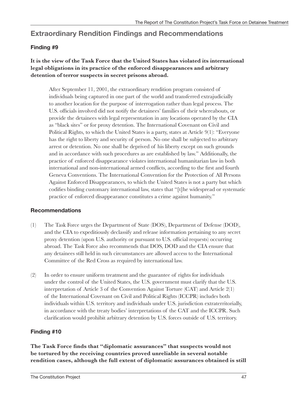### **Extraordinary Rendition Findings and Recommendations**

#### **Finding #9**

#### **It is the view of the Task Force that the United States has violated its international legal obligations in its practice of the enforced disappearances and arbitrary detention of terror suspects in secret prisons abroad.**

After September 11, 2001, the extraordinary rendition program consisted of individuals being captured in one part of the world and transferred extrajudicially to another location for the purpose of interrogation rather than legal process. The U.S. officials involved did not notify the detainees' families of their whereabouts, or provide the detainees with legal representation in any locations operated by the CIA as "black sites" or for proxy detention. The International Covenant on Civil and Political Rights, to which the United States is a party, states at Article 9(1): "Everyone has the right to liberty and security of person. No one shall be subjected to arbitrary arrest or detention. No one shall be deprived of his liberty except on such grounds and in accordance with such procedures as are established by law." Additionally, the practice of enforced disappearance violates international humanitarian law in both international and non-international armed conflicts, according to the first and fourth Geneva Conventions. The International Convention for the Protection of All Persons Against Enforced Disappearances, to which the United States is not a party but which codifies binding customary international law, states that "[t]he widespread or systematic practice of enforced disappearance constitutes a crime against humanity."

#### **Recommendations**

- (1) The Task Force urges the Department of State (DOS), Department of Defense (DOD), and the CIA to expeditiously declassify and release information pertaining to any secret proxy detention (upon U.S. authority or pursuant to U.S. official requests) occurring abroad. The Task Force also recommends that DOS, DOD and the CIA ensure that any detainees still held in such circumstances are allowed access to the International Committee of the Red Cross as required by international law.
- (2) In order to ensure uniform treatment and the guarantee of rights for individuals under the control of the United States, the U.S. government must clarify that the U.S. interpretation of Article 3 of the Convention Against Torture (CAT) and Article 2(1) of the International Covenant on Civil and Political Rights (ICCPR) includes both individuals within U.S. territory and individuals under U.S. jurisdiction extraterritorially, in accordance with the treaty bodies' interpretations of the CAT and the ICCPR. Such clarification would prohibit arbitrary detention by U.S. forces outside of U.S. territory.

#### **Finding #10**

**The Task Force finds that "diplomatic assurances" that suspects would not be tortured by the receiving countries proved unreliable in several notable rendition cases, although the full extent of diplomatic assurances obtained is still**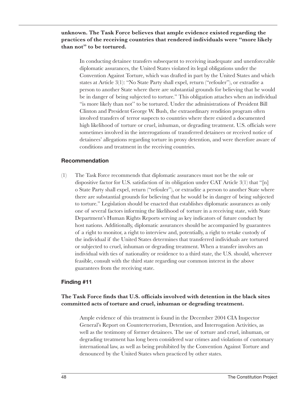#### **unknown. The Task Force believes that ample evidence existed regarding the practices of the receiving countries that rendered individuals were "more likely than not" to be tortured.**

In conducting detainee transfers subsequent to receiving inadequate and unenforceable diplomatic assurances, the United States violated its legal obligations under the Convention Against Torture, which was drafted in part by the United States and which states at Article 3(1): "No State Party shall expel, return ("refouler"), or extradite a person to another State where there are substantial grounds for believing that he would be in danger of being subjected to torture." This obligation attaches when an individual "is more likely than not'' to be tortured. Under the administrations of President Bill Clinton and President George W. Bush, the extraordinary rendition program often involved transfers of terror suspects to countries where there existed a documented high likelihood of torture or cruel, inhuman, or degrading treatment. U.S. officials were sometimes involved in the interrogations of transferred detainees or received notice of detainees' allegations regarding torture in proxy detention, and were therefore aware of conditions and treatment in the receiving countries.

#### **Recommendation**

(1) The Task Force recommends that diplomatic assurances must not be the sole or dispositive factor for U.S. satisfaction of its obligation under CAT Article 3(1) that "[n] o State Party shall expel, return ("refouler"), or extradite a person to another State where there are substantial grounds for believing that he would be in danger of being subjected to torture." Legislation should be enacted that establishes diplomatic assurances as only one of several factors informing the likelihood of torture in a receiving state, with State Department's Human Rights Reports serving as key indicators of future conduct by host nations. Additionally, diplomatic assurances should be accompanied by guarantees of a right to monitor, a right to interview and, potentially, a right to retake custody of the individual if the United States determines that transferred individuals are tortured or subjected to cruel, inhuman or degrading treatment. When a transfer involves an individual with ties of nationality or residence to a third state, the U.S. should, wherever feasible, consult with the third state regarding our common interest in the above guarantees from the receiving state.

#### **Finding #11**

#### **The Task Force finds that U.S. officials involved with detention in the black sites committed acts of torture and cruel, inhuman or degrading treatment.**

Ample evidence of this treatment is found in the December 2004 CIA Inspector General's Report on Counterterrorism, Detention, and Interrogation Activities, as well as the testimony of former detainees. The use of torture and cruel, inhuman, or degrading treatment has long been considered war crimes and violations of customary international law, as well as being prohibited by the Convention Against Torture and denounced by the United States when practiced by other states.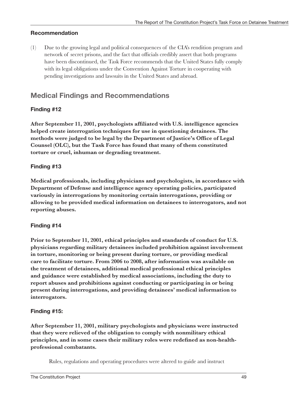#### **Recommendation**

(1) Due to the growing legal and political consequences of the CIA's rendition program and network of secret prisons, and the fact that officials credibly assert that both programs have been discontinued, the Task Force recommends that the United States fully comply with its legal obligations under the Convention Against Torture in cooperating with pending investigations and lawsuits in the United States and abroad.

### **Medical Findings and Recommendations**

#### **Finding #12**

**After September 11, 2001, psychologists affiliated with U.S. intelligence agencies helped create interrogation techniques for use in questioning detainees. The methods were judged to be legal by the Department of Justice's Office of Legal Counsel (OLC), but the Task Force has found that many of them constituted torture or cruel, inhuman or degrading treatment.** 

#### **Finding #13**

**Medical professionals, including physicians and psychologists, in accordance with Department of Defense and intelligence agency operating policies, participated variously in interrogations by monitoring certain interrogations, providing or allowing to be provided medical information on detainees to interrogators, and not reporting abuses.**

#### **Finding #14**

**Prior to September 11, 2001, ethical principles and standards of conduct for U.S. physicians regarding military detainees included prohibition against involvement in torture, monitoring or being present during torture, or providing medical care to facilitate torture. From 2006 to 2008, after information was available on the treatment of detainees, additional medical professional ethical principles and guidance were established by medical associations, including the duty to report abuses and prohibitions against conducting or participating in or being present during interrogations, and providing detainees' medical information to interrogators.** 

#### **Finding #15:**

**After September 11, 2001, military psychologists and physicians were instructed that they were relieved of the obligation to comply with nonmilitary ethical principles, and in some cases their military roles were redefined as non-healthprofessional combatants.** 

Rules, regulations and operating procedures were altered to guide and instruct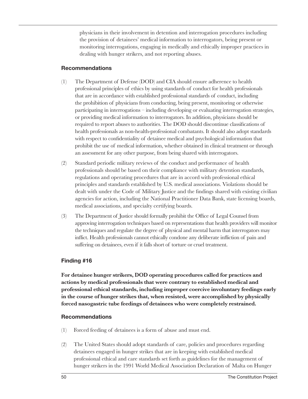physicians in their involvement in detention and interrogation procedures including the provision of detainees' medical information to interrogators, being present or monitoring interrogations, engaging in medically and ethically improper practices in dealing with hunger strikers, and not reporting abuses.

#### **Recommendations**

- (1) The Department of Defense (DOD) and CIA should ensure adherence to health professional principles of ethics by using standards of conduct for health professionals that are in accordance with established professional standards of conduct, including the prohibition of physicians from conducting, being present, monitoring or otherwise participating in interrogations – including developing or evaluating interrogation strategies, or providing medical information to interrogators. In addition, physicians should be required to report abuses to authorities. The DOD should discontinue classifications of health professionals as non-health-professional combatants. It should also adopt standards with respect to confidentiality of detainee medical and psychological information that prohibit the use of medical information, whether obtained in clinical treatment or through an assessment for any other purpose, from being shared with interrogators.
- (2) Standard periodic military reviews of the conduct and performance of health professionals should be based on their compliance with military detention standards, regulations and operating procedures that are in accord with professional ethical principles and standards established by U.S. medical associations. Violations should be dealt with under the Code of Military Justice and the findings shared with existing civilian agencies for action, including the National Practitioner Data Bank, state licensing boards, medical associations, and specialty certifying boards.
- (3) The Department of Justice should formally prohibit the Office of Legal Counsel from approving interrogation techniques based on representations that health providers will monitor the techniques and regulate the degree of physical and mental harm that interrogators may inflict. Health professionals cannot ethically condone any deliberate infliction of pain and suffering on detainees, even if it falls short of torture or cruel treatment.

#### **Finding #16**

**For detainee hunger strikers, DOD operating procedures called for practices and actions by medical professionals that were contrary to established medical and professional ethical standards, including improper coercive involuntary feedings early in the course of hunger strikes that, when resisted, were accomplished by physically forced nasogastric tube feedings of detainees who were completely restrained.**

#### **Recommendations**

- (1) Forced feeding of detainees is a form of abuse and must end.
- (2) The United States should adopt standards of care, policies and procedures regarding detainees engaged in hunger strikes that are in keeping with established medical professional ethical and care standards set forth as guidelines for the management of hunger strikers in the 1991 World Medical Association Declaration of Malta on Hunger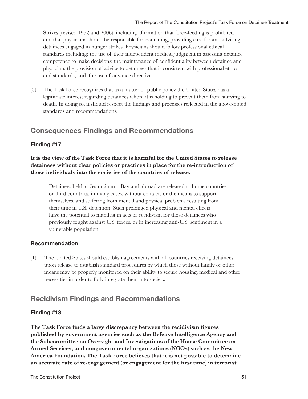Strikes (revised 1992 and 2006), including affirmation that force-feeding is prohibited and that physicians should be responsible for evaluating, providing care for and advising detainees engaged in hunger strikes. Physicians should follow professional ethical standards including: the use of their independent medical judgment in assessing detainee competence to make decisions; the maintenance of confidentiality between detainee and physician; the provision of advice to detainees that is consistent with professional ethics and standards; and, the use of advance directives.

(3) The Task Force recognizes that as a matter of public policy the United States has a legitimate interest regarding detainees whom it is holding to prevent them from starving to death. In doing so, it should respect the findings and processes reflected in the above-noted standards and recommendations.

### **Consequences Findings and Recommendations**

#### **Finding #17**

**It is the view of the Task Force that it is harmful for the United States to release detainees without clear policies or practices in place for the re-introduction of those individuals into the societies of the countries of release.** 

Detainees held at Guantánamo Bay and abroad are released to home countries or third countries, in many cases, without contacts or the means to support themselves, and suffering from mental and physical problems resulting from their time in U.S. detention. Such prolonged physical and mental effects have the potential to manifest in acts of recidivism for those detainees who previously fought against U.S. forces, or in increasing anti-U.S. sentiment in a vulnerable population.

#### **Recommendation**

(1) The United States should establish agreements with all countries receiving detainees upon release to establish standard procedures by which those without family or other means may be properly monitored on their ability to secure housing, medical and other necessities in order to fully integrate them into society.

### **Recidivism Findings and Recommendations**

#### **Finding #18**

**The Task Force finds a large discrepancy between the recidivism figures published by government agencies such as the Defense Intelligence Agency and the Subcommittee on Oversight and Investigations of the House Committee on Armed Services, and nongovernmental organizations (NGOs) such as the New America Foundation. The Task Force believes that it is not possible to determine an accurate rate of re-engagement (or engagement for the first time) in terrorist**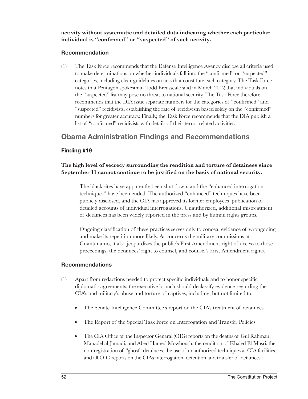**activity without systematic and detailed data indicating whether each particular individual is "confirmed" or "suspected" of such activity.**

#### **Recommendation**

(1) The Task Force recommends that the Defense Intelligence Agency disclose all criteria used to make determinations on whether individuals fall into the "confirmed" or "suspected" categories, including clear guidelines on acts that constitute each category. The Task Force notes that Pentagon spokesman Todd Breasseale said in March 2012 that individuals on the "suspected" list may pose no threat to national security. The Task Force therefore recommends that the DIA issue separate numbers for the categories of "confirmed" and "suspected" recidivists, establishing the rate of recidivism based solely on the "confirmed" numbers for greater accuracy. Finally, the Task Force recommends that the DIA publish a list of "confirmed" recidivists with details of their terror-related activities.

### **Obama Administration Findings and Recommendations**

#### **Finding #19**

#### **The high level of secrecy surrounding the rendition and torture of detainees since September 11 cannot continue to be justified on the basis of national security.**

The black sites have apparently been shut down, and the "enhanced interrogation techniques" have been ended. The authorized "enhanced" techniques have been publicly disclosed, and the CIA has approved its former employees' publication of detailed accounts of individual interrogations. Unauthorized, additional mistreatment of detainees has been widely reported in the press and by human rights groups.

Ongoing classification of these practices serves only to conceal evidence of wrongdoing and make its repetition more likely. As concerns the military commissions at Guantánamo, it also jeopardizes the public's First Amendment right of access to those proceedings, the detainees' right to counsel, and counsel's First Amendment rights.

#### **Recommendations**

- (1) Apart from redactions needed to protect specific individuals and to honor specific diplomatic agreements, the executive branch should declassify evidence regarding the CIA's and military's abuse and torture of captives, including, but not limited to:
	- The Senate Intelligence Committee's report on the CIA's treatment of detainees.
	- The Report of the Special Task Force on Interrogation and Transfer Policies.
	- The CIA Office of the Inspector General (OIG) reports on the deaths of Gul Rahman, Manadel al-Jamadi, and Abed Hamed Mowhoush; the rendition of Khaled El-Masri; the non-registration of "ghost" detainees; the use of unauthorized techniques at CIA facilities; and all OIG reports on the CIA's interrogation, detention and transfer of detainees.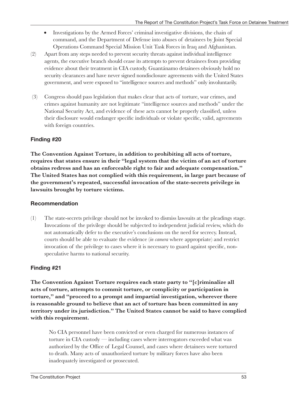- Investigations by the Armed Forces' criminal investigative divisions, the chain of command, and the Department of Defense into abuses of detainees by Joint Special Operations Command Special Mission Unit Task Forces in Iraq and Afghanistan.
- (2) Apart from any steps needed to prevent security threats against individual intelligence agents, the executive branch should cease its attempts to prevent detainees from providing evidence about their treatment in CIA custody. Guantánamo detainees obviously hold no security clearances and have never signed nondisclosure agreements with the United States government, and were exposed to "intelligence sources and methods" only involuntarily.
- (3) Congress should pass legislation that makes clear that acts of torture, war crimes, and crimes against humanity are not legitimate "intelligence sources and methods" under the National Security Act, and evidence of these acts cannot be properly classified, unless their disclosure would endanger specific individuals or violate specific, valid, agreements with foreign countries.

#### **Finding #20**

**The Convention Against Torture, in addition to prohibiting all acts of torture, requires that states ensure in their "legal system that the victim of an act of torture obtains redress and has an enforceable right to fair and adequate compensation." The United States has not complied with this requirement, in large part because of the government's repeated, successful invocation of the state-secrets privilege in lawsuits brought by torture victims.**

#### **Recommendation**

(1) The state-secrets privilege should not be invoked to dismiss lawsuits at the pleadings stage. Invocations of the privilege should be subjected to independent judicial review, which do not automatically defer to the executive's conclusions on the need for secrecy. Instead, courts should be able to evaluate the evidence (*in camera* where appropriate) and restrict invocation of the privilege to cases where it is necessary to guard against specific, nonspeculative harms to national security.

#### **Finding #21**

**The Convention Against Torture requires each state party to "[c]riminalize all acts of torture, attempts to commit torture, or complicity or participation in torture," and "proceed to a prompt and impartial investigation, wherever there is reasonable ground to believe that an act of torture has been committed in any territory under its jurisdiction." The United States cannot be said to have complied with this requirement.** 

No CIA personnel have been convicted or even charged for numerous instances of torture in CIA custody — including cases where interrogators exceeded what was authorized by the Office of Legal Counsel, and cases where detainees were tortured to death. Many acts of unauthorized torture by military forces have also been inadequately investigated or prosecuted.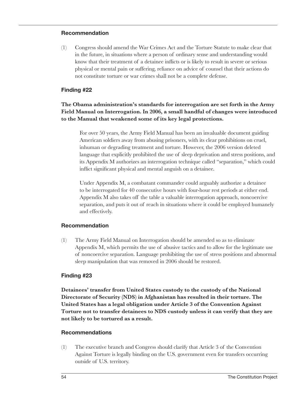#### **Recommendation**

(1) Congress should amend the War Crimes Act and the Torture Statute to make clear that in the future, in situations where a person of ordinary sense and understanding would know that their treatment of a detainee inflicts or is likely to result in severe or serious physical or mental pain or suffering, reliance on advice of counsel that their actions do not constitute torture or war crimes shall not be a complete defense.

#### **Finding #22**

#### **The Obama administration's standards for interrogation are set forth in the Army Field Manual on Interrogation. In 2006, a small handful of changes were introduced to the Manual that weakened some of its key legal protections.**

For over 50 years, the Army Field Manual has been an invaluable document guiding American soldiers away from abusing prisoners, with its clear prohibitions on cruel, inhuman or degrading treatment and torture. However, the 2006 version deleted language that explicitly prohibited the use of sleep deprivation and stress positions, and its Appendix M authorizes an interrogation technique called "separation," which could inflict significant physical and mental anguish on a detainee.

Under Appendix M, a combatant commander could arguably authorize a detainee to be interrogated for 40 consecutive hours with four-hour rest periods at either end. Appendix M also takes off the table a valuable interrogation approach, noncoercive separation, and puts it out of reach in situations where it could be employed humanely and effectively.

#### **Recommendation**

(1) The Army Field Manual on Interrogation should be amended so as to eliminate Appendix M, which permits the use of abusive tactics and to allow for the legitimate use of noncoercive separation. Language prohibiting the use of stress positions and abnormal sleep manipulation that was removed in 2006 should be restored.

#### **Finding #23**

**Detainees' transfer from United States custody to the custody of the National Directorate of Security (NDS) in Afghanistan has resulted in their torture. The United States has a legal obligation under Article 3 of the Convention Against Torture not to transfer detainees to NDS custody unless it can verify that they are not likely to be tortured as a result.** 

#### **Recommendations**

(1) The executive branch and Congress should clarify that Article 3 of the Convention Against Torture is legally binding on the U.S. government even for transfers occurring outside of U.S. territory.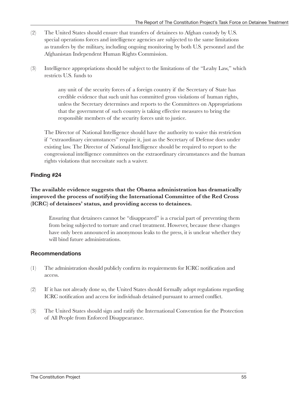- (2) The United States should ensure that transfers of detainees to Afghan custody by U.S. special operations forces and intelligence agencies are subjected to the same limitations as transfers by the military, including ongoing monitoring by both U.S. personnel and the Afghanistan Independent Human Rights Commission.
- (3) Intelligence appropriations should be subject to the limitations of the "Leahy Law," which restricts U.S. funds to

any unit of the security forces of a foreign country if the Secretary of State has credible evidence that such unit has committed gross violations of human rights, unless the Secretary determines and reports to the Committees on Appropriations that the government of such country is taking effective measures to bring the responsible members of the security forces unit to justice.

The Director of National Intelligence should have the authority to waive this restriction if "extraordinary circumstances" require it, just as the Secretary of Defense does under existing law. The Director of National Intelligence should be required to report to the congressional intelligence committees on the extraordinary circumstances and the human rights violations that necessitate such a waiver.

#### **Finding #24**

#### **The available evidence suggests that the Obama administration has dramatically improved the process of notifying the International Committee of the Red Cross (ICRC) of detainees' status, and providing access to detainees.**

Ensuring that detainees cannot be "disappeared" is a crucial part of preventing them from being subjected to torture and cruel treatment. However, because these changes have only been announced in anonymous leaks to the press, it is unclear whether they will bind future administrations.

#### **Recommendations**

- (1) The administration should publicly confirm its requirements for ICRC notification and access.
- (2) If it has not already done so, the United States should formally adopt regulations regarding ICRC notification and access for individuals detained pursuant to armed conflict.
- (3) The United States should sign and ratify the International Convention for the Protection of All People from Enforced Disappearance.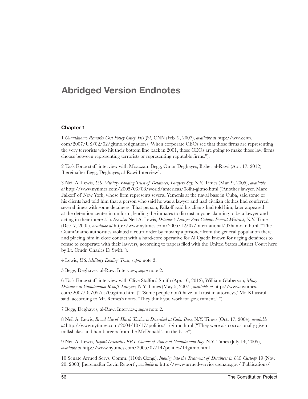### **Abridged Version Endnotes**

#### **Chapter 1**

1 *Guantánamo Remarks Cost Policy Chief His Job,* CNN (Feb. 2, 2007), *available at* [http://www.cnn.](http://www.cnn) com/2007/US/02/02[/gitmo.resignation](gitmo.resignation) ("When corporate CEOs see that those firms are representing the very terrorists who hit their bottom line back in 2001, those CEOs are going to make those law firms choose between representing terrorists or representing reputable firms.").

2 Task Force staff interview with Moazzam Begg, Omar Deghayes, Bisher al-Rawi (Apr. 17, 2012) [hereinafter Begg, Deghayes, al-Rawi Interview].

3 Neil A. Lewis, *U.S. Military Eroding Trust of Detainees, Lawyers Say,* N.Y. Times (Mar. 9, 2005), *available at* <http://www.nytimes.com/2005/03/08/world/americas/08iht-gitmo.html>("Another lawyer, Marc Falkoff of New York, whose firm represents several Yemenis at the naval base in Cuba, said some of his clients had told him that a person who said he was a lawyer and had civilian clothes had conferred several times with some detainees. That person, Falkoff said his clients had told him, later appeared at the detention center in uniform, leading the inmates to distrust anyone claiming to be a lawyer and acting in their interest."). *See also* Neil A. Lewis, *Detainee's Lawyer Says Captors Foment Mistrust,* N.Y. Times (Dec. 7, 2005), *available at* <http://www.nytimes.com/2005/12/07/international/07hamdan.html> ("The Guantánamo authorities violated a court order by moving a prisoner from the general population there and placing him in close contact with a hard-core operative for Al Qaeda known for urging detainees to refuse to cooperate with their lawyers, according to papers filed with the United States District Court here by Lt. Cmdr. Charles D. Swift.").

4 Lewis, *U.S. Military Eroding Trust*, *supra* note 3.

5 Begg, Deghayes, al-Rawi Interview, *supra* note 2.

6 Task Force staff interview with Clive Stafford Smith (Apr. 16, 2012); William Glaberson, *Many Detainees at Guantánamo Rebuff Lawyers,* N.Y. Times (May 5, 2007), *available at* <http://www.nytimes>. com/2007/05/05/us/<05gitmo.html>(" 'Some people don't have full trust in attorneys,' Mr. Khussrof said, according to Mr. Remes's notes. 'They think you work for government.' ").

7 Begg, Deghayes, al-Rawi Interview, *supra* note 2.

8 Neil A. Lewis, *Broad Use of Harsh Tactics is Described at Cuba Base,* N.Y. Times (Oct. 17, 2004), *available at* <http://www.nytimes.com/2004/10/17/politics/17gitmo.html>("They were also occasionally given milkshakes and hamburgers from the McDonald's on the base").

9 Neil A. Lewis, *Report Discredits F.B.I. Claims of Abuse at Guantánamo Bay,* N.Y. Times (July 14, 2005), *available at* <http://www.nytimes.com/2005/07/14/politics/14gitmo.html>

10 Senate Armed Servs. Comm. (110th Cong.), *Inquiry into the Treatment of Detainees in U.S. Custody* 19 (Nov. 20, 2008) [hereinafter Levin Report], *available at* <http://www.armed-services.senate.gov>/ Publications/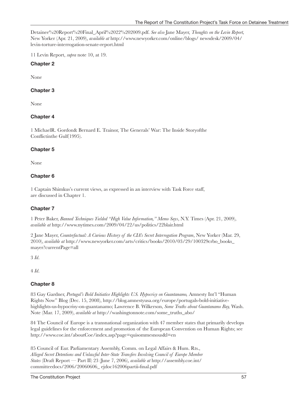Detainee%20Report%20Final\_April%2022%[202009.pdf.](202009.pdf) *See also* Jane Mayer, *Thoughts on the Levin Report,*  New Yorker (Apr. 21, 2009), *available at* [http://www.newyorker.com/online/blogs/](http://www.newyorker.com/online/blogs) newsdesk/2009/04/ <levin-torture-interrogation-senate-report.html>

11 Levin Report, *supra* note 10, at 19.

#### **Chapter 2**

None

#### **Chapter 3**

None

#### **Chapter 4**

1 MichaelR. Gordon& Bernard E. Trainor, The Generals' War: The Inside Storyofthe Conflictinthe Gulf(1995).

#### **Chapter 5**

None

#### **Chapter 6**

1 Captain Shimkus's current views, as expressed in an interview with Task Force staff, are discussed in Chapter 1.

#### **Chapter 7**

1 Peter Baker, *Banned Techniques Yielded "High Value Information," Memo Says*, N.Y. Times (Apr. 21, 2009), *available at* <http://www.nytimes.com/2009/04/22/us/politics/22blair.html>

2 Jane Mayer, *Counterfactual: A Curious History of the CIA's Secret Interrogation Program*, New Yorker (Mar. 29, 2010), *available at* [http://www.newyorker.com/arts/critics/books/2010/03/29/100329crbo\\_books\\_](http://www.newyorker.com/arts/critics/books/2010/03/29/100329crbo_books_) mayer?currentPage=all

3 *Id*.

4 *Id*.

#### **Chapter 8**

83 Gay Gardner, *Portugal's Bold Initiative Highlights U.S. Hypocrisy on Guantanamo,* Amnesty Int'l "Human Rights Now" Blog (Dec. 15, 2008), <http://blog.amnestyusa.org/europe/portugals>-bold-initiativehighlights-us-hypocrisy-on-guantanamo; Lawrence B. Wilkerson, *Some Truths about Guantanamo Bay,* Wash. Note (Mar. 17, 2009), *available at* [http://washingtonnote.com/some\\_truths\\_abo](http://washingtonnote.com/some_truths_abo)/

84 The Council of Europe is a transnational organization with 47 member states that primarily develops legal guidelines for the enforcement and promotion of the European Convention on Human Rights; see <http://www.coe.int/aboutCoe/index.asp?page=quisommesnous&l=en>

85 Council of Eur. Parliamentary Assembly, Comm. on Legal Affairs & Hum. Rts., *Alleged Secret Detentions and Unlawful Inter-State Transfers Involving Council of Europe Member States* (Draft Report — Part II) 23 (June 7, 2006), *available at* [http://assembly.coe.int/](http://assembly.coe.int/committeedocs/2006/20060606_%20ejdoc162006partii-final.pdf) [committeedocs/2006/20060606\\_ ejdoc162006partii-final.pdf](http://assembly.coe.int/committeedocs/2006/20060606_%20ejdoc162006partii-final.pdf)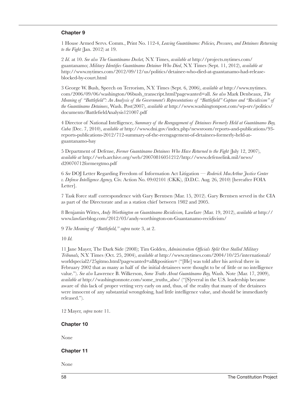#### **Chapter 9**

1 House Armed Servs. Comm., Print No. 112-4, *Leaving Guantánamo: Policies, Pressures, and Detainees Returning to the Fight* (Jan. 2012) at 19.

2 *Id*. at 10. *See also The Guantánamo Docket,* N.Y. Times, *available at* [http://projects.nytimes.com/](http://projects.nytimes.com) guantanamo; *Military Identifies Guantánamo Detainee Who Died*, N.Y. Times (Sept. 11, 2012), *available at*  [http://www.nytimes.com/2012/09/12/us/politics/detainee-who-died-at-guantanamo-had-release](http://www.nytimes.com/2012/09/12/us/politics/detainee-who-died-at-guantanamo-had-release-blocked-by-court.html)[blocked-by-court.html](http://www.nytimes.com/2012/09/12/us/politics/detainee-who-died-at-guantanamo-had-release-blocked-by-court.html)

3 George W. Bush, Speech on Terrorism, N.Y. Times (Sept. 6, 2006), *available at* <http://www.nytimes>. com/2006/09/06/washington/[06bush\\_transcript.html](06bush_transcript.html)?pagewanted=all. *See also* Mark Denbeaux, *The Meaning of "Battlefield": An Analysis of the Government's Representations of "Battlefield" Capture and "Recidivism" of the Guantánamo Detainees*, Wash. Post(2007), *available at* [http://www.washingtonpost.com/wp-srv/politics/](http://www.washingtonpost.com/wp-srv/politics) documents/<BattlefieldAnalysis121007.pdf>

4 Director of National Intelligence, *Summary of the Reengagement of Detainees Formerly Held at Guantánamo Bay, Cuba* (Dec. 7, 2010), *available at* [http://www.dni.gov/index.php/newsroom/reports-and-publications/93](http://www.dni.gov/index.php/newsroom/reports-and-publications/93-reports-publications-2012/712) [reports-publications-2012/712-](http://www.dni.gov/index.php/newsroom/reports-and-publications/93-reports-publications-2012/712)summary-of-the-reengagement-of-detainees-formerly-held-atguantanamo-bay

5 Department of Defense, *Former Guantánamo Detainees Who Have Returned to the Fight* (July 12, 2007), *available at* [http://web.archive.org/web/20070816051212/http:](http://web.archive.org/web/20070816051212/http)//<www.defenselink.mil/news>/ <d20070712formergtmo.pdf>

6 *See* DOJ Letter Regarding Freedom of Information Act Litigation — *Roderick MacArthur Justice Center v. Defense Intelligence Agency,* Civ. Action No. 09:02101 (CKK), (D.D.C. Aug. 26, 2010) [hereafter FOIA Letter].

7 Task Force staff correspondence with Gary Berntsen (Mar. 15, 2012). Gary Berntsen served in the CIA as part of the Directorate and as a station chief between 1982 and 2005.

8 Benjamin Wittes, *Andy Worthington on Guantánamo Recidivism,* Lawfare (Mar. 19, 2012), *available at* [http://](http://www.lawfareblog.com/2012/03/andy) [www.lawfareblog.com/2012/03/andy](http://www.lawfareblog.com/2012/03/andy)-worthington-on-Guantanamo-recidivism/

9 *The Meaning of "Battlefield," supra* note 3, at 2.

10 *Id.* 

11 Jane Mayer, The Dark Side (2008); Tim Golden, *Administration Officials Split Over Stalled Military Tribunals,* N.Y. Times (Oct. 25, 2004), *available at* [http://www.nytimes.com/2004/10/25/international/](http://www.nytimes.com/2004/10/25/international) worldspecial2/<25gitmo.html>?pagewanted=all&position= ("[He] was told after his arrival there in February 2002 that as many as half of the initial detainees were thought to be of little or no intelligence value."). *See also* Lawrence B. Wilkerson, *Some Truths About Guantánamo Bay,* Wash. Note (Mar. 17, 2009), *available at* [http://washingtonnote.com/some\\_truths\\_abo](http://washingtonnote.com/some_truths_abo)/ ("[S]everal in the U.S. leadership became aware of this lack of proper vetting very early on and, thus, of the reality that many of the detainees were innocent of any substantial wrongdoing, had little intelligence value, and should be immediately released.").

12 Mayer, *supra* note 11.

**Chapter 10**

None

#### **Chapter 11**

None